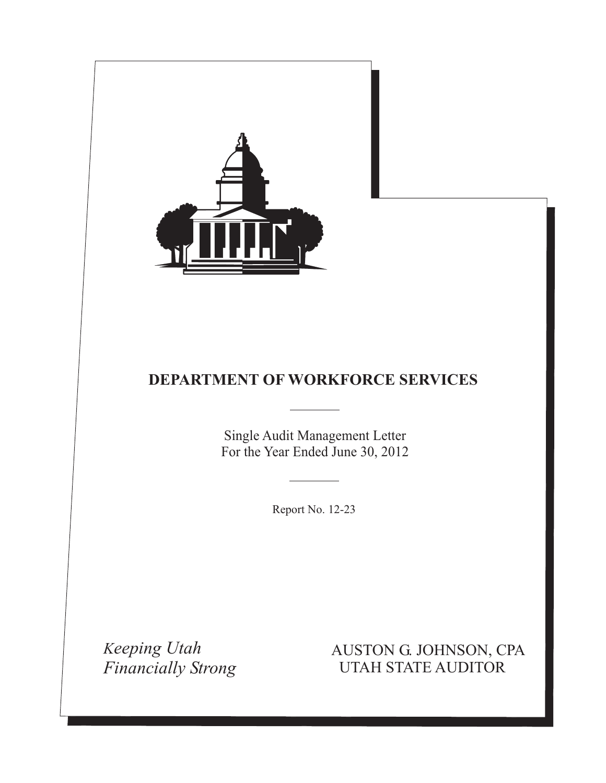

Single Audit Management Letter For the Year Ended June 30, 2012

Report No. 12-23

*Keeping Utah Financially Strong*

AUSTON G. JOHNSON, CPA UTAH STATE AUDITOR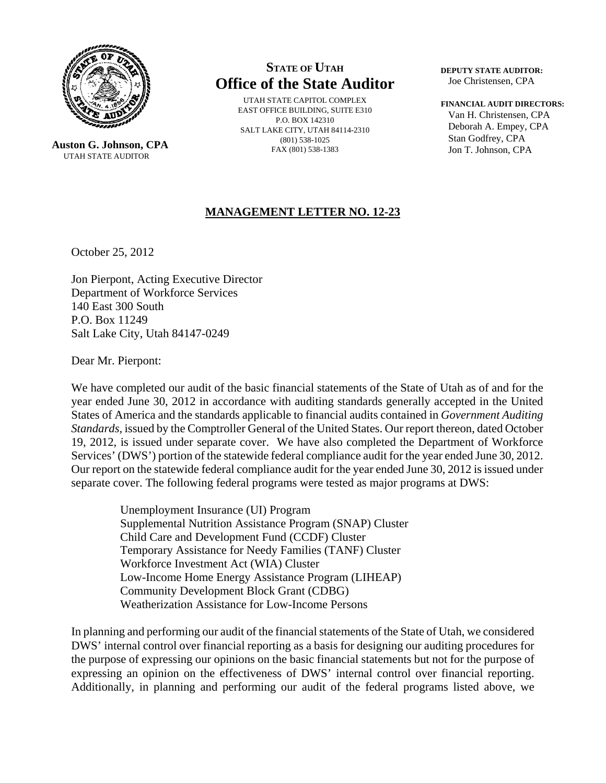

 **Auston G. Johnson, CPA** UTAH STATE AUDITOR

# **STATE OF UTAH Office of the State Auditor**

UTAH STATE CAPITOL COMPLEX EAST OFFICE BUILDING, SUITE E310 P.O. BOX 142310 SALT LAKE CITY, UTAH 84114-2310 (801) 538-1025 FAX (801) 538-1383

**DEPUTY STATE AUDITOR:** Joe Christensen, CPA

#### **FINANCIAL AUDIT DIRECTORS:**

 Van H. Christensen, CPA Deborah A. Empey, CPA Stan Godfrey, CPA Jon T. Johnson, CPA

# **MANAGEMENT LETTER NO. 12-23**

October 25, 2012

Jon Pierpont, Acting Executive Director Department of Workforce Services 140 East 300 South P.O. Box 11249 Salt Lake City, Utah 84147-0249

Dear Mr. Pierpont:

We have completed our audit of the basic financial statements of the State of Utah as of and for the year ended June 30, 2012 in accordance with auditing standards generally accepted in the United States of America and the standards applicable to financial audits contained in *Government Auditing Standards,* issued by the Comptroller General of the United States. Our report thereon, dated October 19, 2012, is issued under separate cover. We have also completed the Department of Workforce Services' (DWS') portion of the statewide federal compliance audit for the year ended June 30, 2012. Our report on the statewide federal compliance audit for the year ended June 30, 2012 is issued under separate cover. The following federal programs were tested as major programs at DWS:

> Unemployment Insurance (UI) Program Supplemental Nutrition Assistance Program (SNAP) Cluster Child Care and Development Fund (CCDF) Cluster Temporary Assistance for Needy Families (TANF) Cluster Workforce Investment Act (WIA) Cluster Low-Income Home Energy Assistance Program (LIHEAP) Community Development Block Grant (CDBG) Weatherization Assistance for Low-Income Persons

In planning and performing our audit of the financial statements of the State of Utah, we considered DWS' internal control over financial reporting as a basis for designing our auditing procedures for the purpose of expressing our opinions on the basic financial statements but not for the purpose of expressing an opinion on the effectiveness of DWS' internal control over financial reporting. Additionally, in planning and performing our audit of the federal programs listed above, we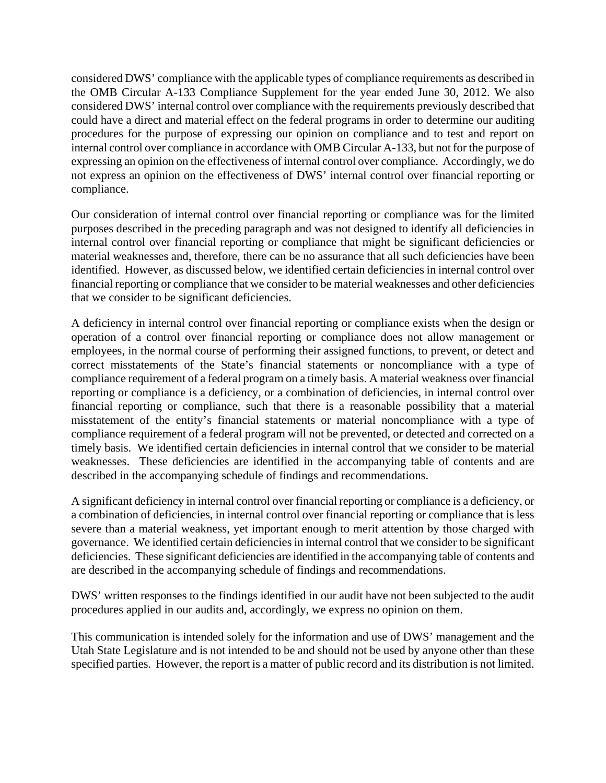considered DWS' compliance with the applicable types of compliance requirements as described in the OMB Circular A-133 Compliance Supplement for the year ended June 30, 2012. We also considered DWS' internal control over compliance with the requirements previously described that could have a direct and material effect on the federal programs in order to determine our auditing procedures for the purpose of expressing our opinion on compliance and to test and report on internal control over compliance in accordance with OMB Circular A-133, but not for the purpose of expressing an opinion on the effectiveness of internal control over compliance. Accordingly, we do not express an opinion on the effectiveness of DWS' internal control over financial reporting or compliance.

Our consideration of internal control over financial reporting or compliance was for the limited purposes described in the preceding paragraph and was not designed to identify all deficiencies in internal control over financial reporting or compliance that might be significant deficiencies or material weaknesses and, therefore, there can be no assurance that all such deficiencies have been identified. However, as discussed below, we identified certain deficiencies in internal control over financial reporting or compliance that we consider to be material weaknesses and other deficiencies that we consider to be significant deficiencies.

A deficiency in internal control over financial reporting or compliance exists when the design or operation of a control over financial reporting or compliance does not allow management or employees, in the normal course of performing their assigned functions, to prevent, or detect and correct misstatements of the State's financial statements or noncompliance with a type of compliance requirement of a federal program on a timely basis. A material weakness over financial reporting or compliance is a deficiency, or a combination of deficiencies, in internal control over financial reporting or compliance, such that there is a reasonable possibility that a material misstatement of the entity's financial statements or material noncompliance with a type of compliance requirement of a federal program will not be prevented, or detected and corrected on a timely basis. We identified certain deficiencies in internal control that we consider to be material weaknesses. These deficiencies are identified in the accompanying table of contents and are described in the accompanying schedule of findings and recommendations.

A significant deficiency in internal control over financial reporting or compliance is a deficiency, or a combination of deficiencies, in internal control over financial reporting or compliance that is less severe than a material weakness, yet important enough to merit attention by those charged with governance. We identified certain deficiencies in internal control that we consider to be significant deficiencies. These significant deficiencies are identified in the accompanying table of contents and are described in the accompanying schedule of findings and recommendations.

DWS' written responses to the findings identified in our audit have not been subjected to the audit procedures applied in our audits and, accordingly, we express no opinion on them.

This communication is intended solely for the information and use of DWS' management and the Utah State Legislature and is not intended to be and should not be used by anyone other than these specified parties. However, the report is a matter of public record and its distribution is not limited.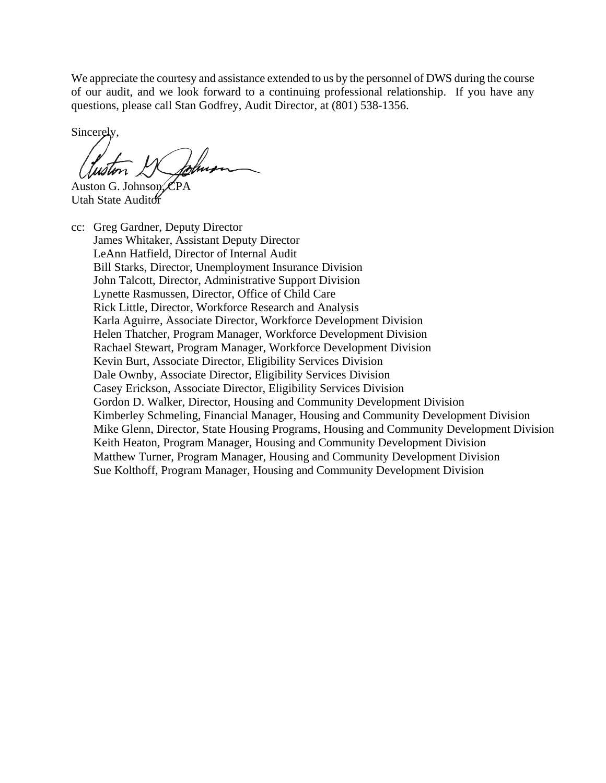We appreciate the courtesy and assistance extended to us by the personnel of DWS during the course of our audit, and we look forward to a continuing professional relationship. If you have any questions, please call Stan Godfrey, Audit Director, at (801) 538-1356.

Sincerely,

Auston G. Johnson, CPA Utah State Auditor

cc: Greg Gardner, Deputy Director James Whitaker, Assistant Deputy Director LeAnn Hatfield, Director of Internal Audit Bill Starks, Director, Unemployment Insurance Division John Talcott, Director, Administrative Support Division Lynette Rasmussen, Director, Office of Child Care Rick Little, Director, Workforce Research and Analysis Karla Aguirre, Associate Director, Workforce Development Division Helen Thatcher, Program Manager, Workforce Development Division Rachael Stewart, Program Manager, Workforce Development Division Kevin Burt, Associate Director, Eligibility Services Division Dale Ownby, Associate Director, Eligibility Services Division Casey Erickson, Associate Director, Eligibility Services Division Gordon D. Walker, Director, Housing and Community Development Division Kimberley Schmeling, Financial Manager, Housing and Community Development Division Mike Glenn, Director, State Housing Programs, Housing and Community Development Division Keith Heaton, Program Manager, Housing and Community Development Division Matthew Turner, Program Manager, Housing and Community Development Division Sue Kolthoff, Program Manager, Housing and Community Development Division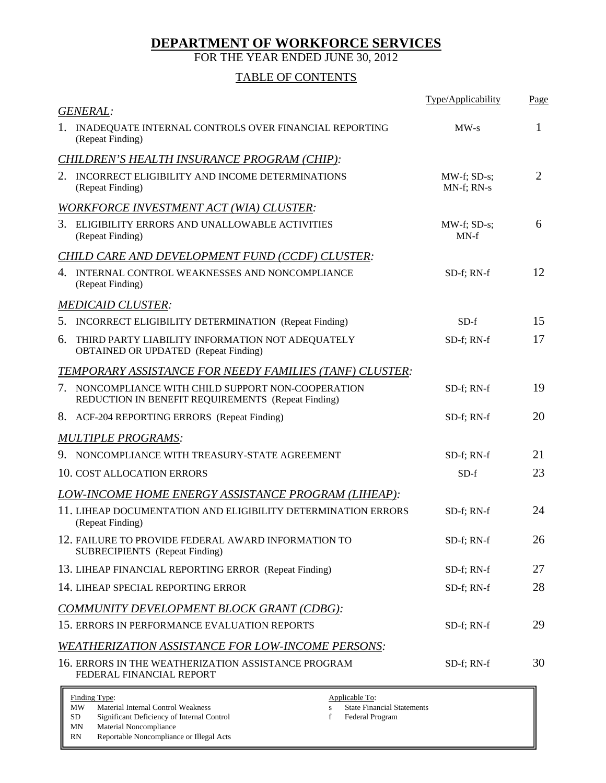FOR THE YEAR ENDED JUNE 30, 2012

# TABLE OF CONTENTS

| <b>GENERAL:</b>                                                                                                       | Type/Applicability        | Page |
|-----------------------------------------------------------------------------------------------------------------------|---------------------------|------|
| 1. INADEQUATE INTERNAL CONTROLS OVER FINANCIAL REPORTING<br>(Repeat Finding)                                          | $MW-s$                    | 1    |
| CHILDREN'S HEALTH INSURANCE PROGRAM (CHIP):                                                                           |                           |      |
| 2. INCORRECT ELIGIBILITY AND INCOME DETERMINATIONS<br>(Repeat Finding)                                                | MW-f; SD-s;<br>MN-f; RN-s | 2    |
| <b>WORKFORCE INVESTMENT ACT (WIA) CLUSTER:</b>                                                                        |                           |      |
| 3. ELIGIBILITY ERRORS AND UNALLOWABLE ACTIVITIES<br>(Repeat Finding)                                                  | MW-f; SD-s;<br>$MN-f$     | 6    |
| <b>CHILD CARE AND DEVELOPMENT FUND (CCDF) CLUSTER:</b>                                                                |                           |      |
| 4. INTERNAL CONTROL WEAKNESSES AND NONCOMPLIANCE<br>(Repeat Finding)                                                  | SD-f; RN-f                | 12   |
| <b>MEDICAID CLUSTER:</b>                                                                                              |                           |      |
| 5. INCORRECT ELIGIBILITY DETERMINATION (Repeat Finding)                                                               | $SD-f$                    | 15   |
| THIRD PARTY LIABILITY INFORMATION NOT ADEQUATELY<br>6.<br><b>OBTAINED OR UPDATED</b> (Repeat Finding)                 | SD-f; RN-f                | 17   |
| TEMPORARY ASSISTANCE FOR NEEDY FAMILIES (TANF) CLUSTER:                                                               |                           |      |
| NONCOMPLIANCE WITH CHILD SUPPORT NON-COOPERATION<br>7.<br>REDUCTION IN BENEFIT REQUIREMENTS (Repeat Finding)          | SD-f; RN-f                | 19   |
| 8. ACF-204 REPORTING ERRORS (Repeat Finding)                                                                          | SD-f; RN-f                | 20   |
| <b>MULTIPLE PROGRAMS:</b>                                                                                             |                           |      |
| 9. NONCOMPLIANCE WITH TREASURY-STATE AGREEMENT                                                                        | SD-f; RN-f                | 21   |
| 10. COST ALLOCATION ERRORS                                                                                            | $SD-f$                    | 23   |
| LOW-INCOME HOME ENERGY ASSISTANCE PROGRAM (LIHEAP):                                                                   |                           |      |
| 11. LIHEAP DOCUMENTATION AND ELIGIBILITY DETERMINATION ERRORS<br>(Repeat Finding)                                     | SD-f; RN-f                | 24   |
| 12. FAILURE TO PROVIDE FEDERAL AWARD INFORMATION TO<br><b>SUBRECIPIENTS</b> (Repeat Finding)                          | SD-f; RN-f                | 26   |
| 13. LIHEAP FINANCIAL REPORTING ERROR (Repeat Finding)                                                                 | SD-f; RN-f                | 27   |
| 14. LIHEAP SPECIAL REPORTING ERROR                                                                                    | SD-f; RN-f                | 28   |
| COMMUNITY DEVELOPMENT BLOCK GRANT (CDBG):                                                                             |                           |      |
| 15. ERRORS IN PERFORMANCE EVALUATION REPORTS                                                                          | SD-f; RN-f                | 29   |
| <b>WEATHERIZATION ASSISTANCE FOR LOW-INCOME PERSONS:</b>                                                              |                           |      |
| 16. ERRORS IN THE WEATHERIZATION ASSISTANCE PROGRAM<br>FEDERAL FINANCIAL REPORT                                       | SD-f; RN-f                | 30   |
| Finding Type:<br>Applicable To:<br>Material Internal Control Weakness<br><b>State Financial Statements</b><br>MW<br>S |                           |      |

SD Significant Deficiency of Internal Control f Federal Program MN Material Noncompliance

MN Material Noncompliance<br>RN Reportable Noncompliance Reportable Noncompliance or Illegal Acts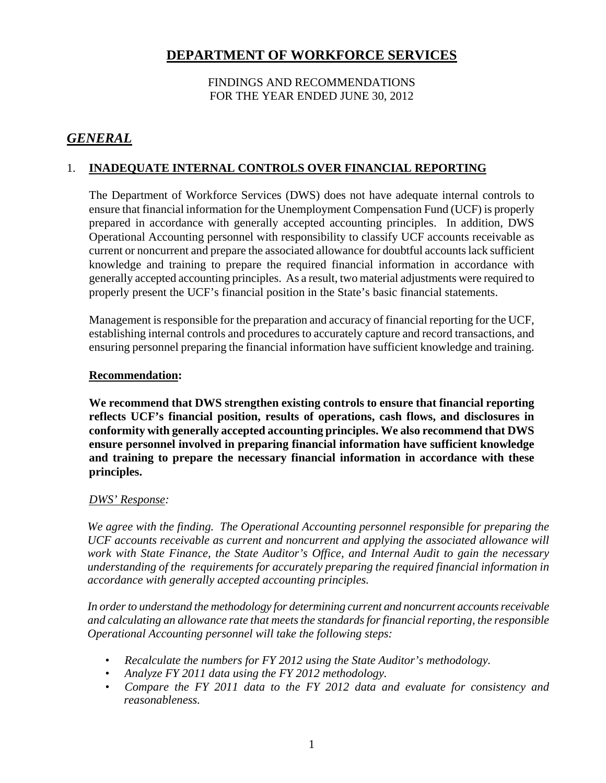# FINDINGS AND RECOMMENDATIONS FOR THE YEAR ENDED JUNE 30, 2012

# *GENERAL*

# 1. **INADEQUATE INTERNAL CONTROLS OVER FINANCIAL REPORTING**

The Department of Workforce Services (DWS) does not have adequate internal controls to ensure that financial information for the Unemployment Compensation Fund (UCF) is properly prepared in accordance with generally accepted accounting principles. In addition, DWS Operational Accounting personnel with responsibility to classify UCF accounts receivable as current or noncurrent and prepare the associated allowance for doubtful accounts lack sufficient knowledge and training to prepare the required financial information in accordance with generally accepted accounting principles. As a result, two material adjustments were required to properly present the UCF's financial position in the State's basic financial statements.

Management is responsible for the preparation and accuracy of financial reporting for the UCF, establishing internal controls and procedures to accurately capture and record transactions, and ensuring personnel preparing the financial information have sufficient knowledge and training.

### **Recommendation:**

**We recommend that DWS strengthen existing controls to ensure that financial reporting reflects UCF's financial position, results of operations, cash flows, and disclosures in conformity with generally accepted accounting principles. We also recommend that DWS ensure personnel involved in preparing financial information have sufficient knowledge and training to prepare the necessary financial information in accordance with these principles.**

# *DWS' Response:*

*We agree with the finding. The Operational Accounting personnel responsible for preparing the UCF accounts receivable as current and noncurrent and applying the associated allowance will work with State Finance, the State Auditor's Office, and Internal Audit to gain the necessary understanding of the requirements for accurately preparing the required financial information in accordance with generally accepted accounting principles.* 

*In order to understand the methodology for determining current and noncurrent accounts receivable and calculating an allowance rate that meets the standards for financial reporting, the responsible Operational Accounting personnel will take the following steps:* 

- *Recalculate the numbers for FY 2012 using the State Auditor's methodology.*
- *Analyze FY 2011 data using the FY 2012 methodology.*
- *Compare the FY 2011 data to the FY 2012 data and evaluate for consistency and reasonableness.*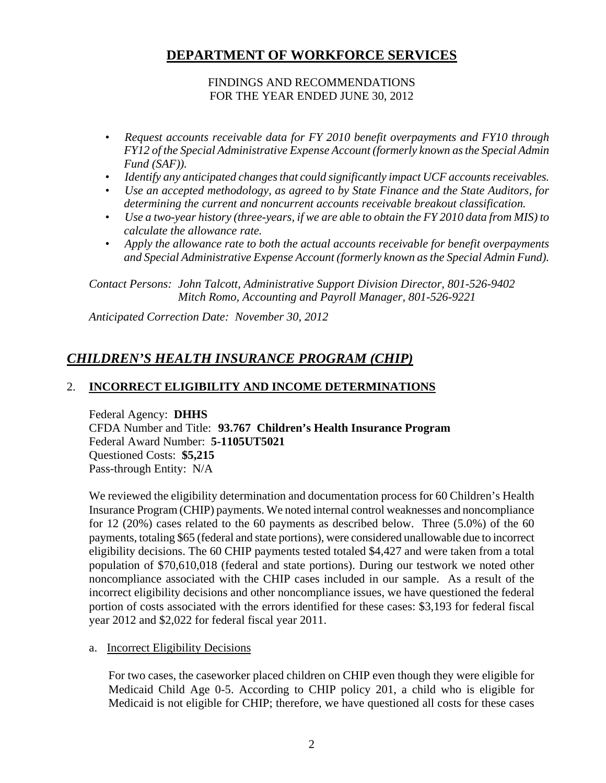### FINDINGS AND RECOMMENDATIONS FOR THE YEAR ENDED JUNE 30, 2012

- *Request accounts receivable data for FY 2010 benefit overpayments and FY10 through FY12 of the Special Administrative Expense Account (formerly known as the Special Admin Fund (SAF)).*
- *Identify any anticipated changes that could significantly impact UCF accounts receivables.*
- *Use an accepted methodology, as agreed to by State Finance and the State Auditors, for determining the current and noncurrent accounts receivable breakout classification.*
- *Use a two-year history (three-years, if we are able to obtain the FY 2010 data from MIS) to calculate the allowance rate.*
- *Apply the allowance rate to both the actual accounts receivable for benefit overpayments and Special Administrative Expense Account (formerly known as the Special Admin Fund).*

*Contact Persons: John Talcott, Administrative Support Division Director, 801-526-9402 Mitch Romo, Accounting and Payroll Manager, 801-526-9221* 

*Anticipated Correction Date: November 30, 2012* 

# *CHILDREN'S HEALTH INSURANCE PROGRAM (CHIP)*

# 2. **INCORRECT ELIGIBILITY AND INCOME DETERMINATIONS**

Federal Agency: **DHHS** CFDA Number and Title: **93.767 Children's Health Insurance Program**  Federal Award Number: **5-1105UT5021**  Questioned Costs: **\$5,215**  Pass-through Entity: N/A

We reviewed the eligibility determination and documentation process for 60 Children's Health Insurance Program (CHIP) payments. We noted internal control weaknesses and noncompliance for 12 (20%) cases related to the 60 payments as described below. Three (5.0%) of the 60 payments, totaling \$65 (federal and state portions), were considered unallowable due to incorrect eligibility decisions. The 60 CHIP payments tested totaled \$4,427 and were taken from a total population of \$70,610,018 (federal and state portions). During our testwork we noted other noncompliance associated with the CHIP cases included in our sample. As a result of the incorrect eligibility decisions and other noncompliance issues, we have questioned the federal portion of costs associated with the errors identified for these cases: \$3,193 for federal fiscal year 2012 and \$2,022 for federal fiscal year 2011.

### a. Incorrect Eligibility Decisions

For two cases, the caseworker placed children on CHIP even though they were eligible for Medicaid Child Age 0-5. According to CHIP policy 201, a child who is eligible for Medicaid is not eligible for CHIP; therefore, we have questioned all costs for these cases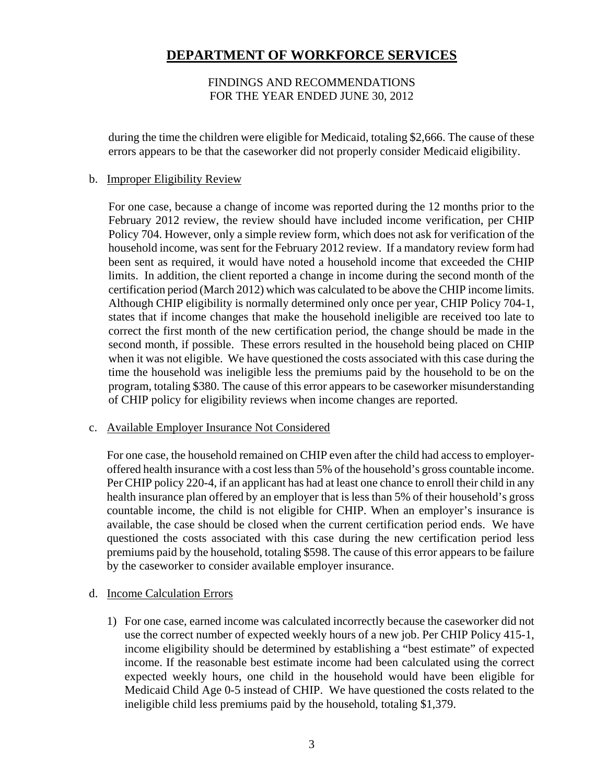### FINDINGS AND RECOMMENDATIONS FOR THE YEAR ENDED JUNE 30, 2012

during the time the children were eligible for Medicaid, totaling \$2,666. The cause of these errors appears to be that the caseworker did not properly consider Medicaid eligibility.

#### b. Improper Eligibility Review

For one case, because a change of income was reported during the 12 months prior to the February 2012 review, the review should have included income verification, per CHIP Policy 704. However, only a simple review form, which does not ask for verification of the household income, was sent for the February 2012 review. If a mandatory review form had been sent as required, it would have noted a household income that exceeded the CHIP limits. In addition, the client reported a change in income during the second month of the certification period (March 2012) which was calculated to be above the CHIP income limits. Although CHIP eligibility is normally determined only once per year, CHIP Policy 704-1, states that if income changes that make the household ineligible are received too late to correct the first month of the new certification period, the change should be made in the second month, if possible. These errors resulted in the household being placed on CHIP when it was not eligible. We have questioned the costs associated with this case during the time the household was ineligible less the premiums paid by the household to be on the program, totaling \$380. The cause of this error appears to be caseworker misunderstanding of CHIP policy for eligibility reviews when income changes are reported.

### c. Available Employer Insurance Not Considered

For one case, the household remained on CHIP even after the child had access to employeroffered health insurance with a cost less than 5% of the household's gross countable income. Per CHIP policy 220-4, if an applicant has had at least one chance to enroll their child in any health insurance plan offered by an employer that is less than 5% of their household's gross countable income, the child is not eligible for CHIP. When an employer's insurance is available, the case should be closed when the current certification period ends. We have questioned the costs associated with this case during the new certification period less premiums paid by the household, totaling \$598. The cause of this error appears to be failure by the caseworker to consider available employer insurance.

### d. Income Calculation Errors

1) For one case, earned income was calculated incorrectly because the caseworker did not use the correct number of expected weekly hours of a new job. Per CHIP Policy 415-1, income eligibility should be determined by establishing a "best estimate" of expected income. If the reasonable best estimate income had been calculated using the correct expected weekly hours, one child in the household would have been eligible for Medicaid Child Age 0-5 instead of CHIP. We have questioned the costs related to the ineligible child less premiums paid by the household, totaling \$1,379.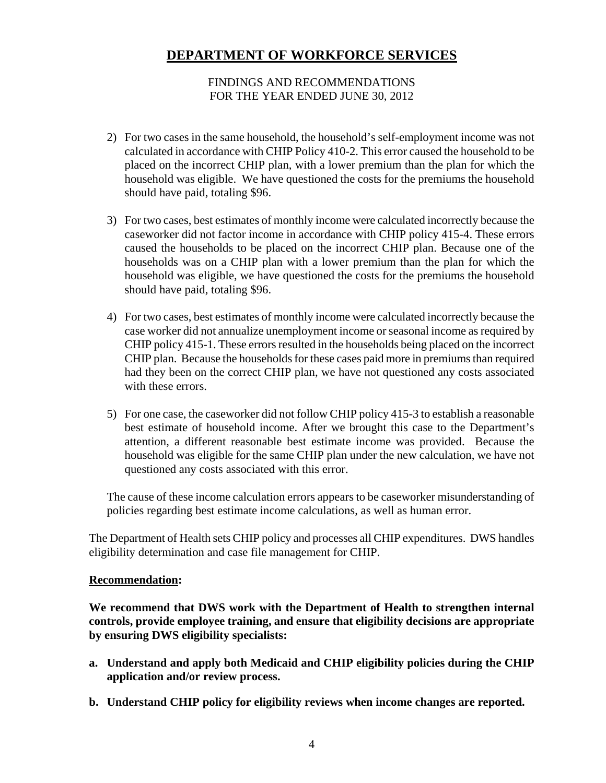### FINDINGS AND RECOMMENDATIONS FOR THE YEAR ENDED JUNE 30, 2012

- 2) For two cases in the same household, the household's self-employment income was not calculated in accordance with CHIP Policy 410-2. This error caused the household to be placed on the incorrect CHIP plan, with a lower premium than the plan for which the household was eligible. We have questioned the costs for the premiums the household should have paid, totaling \$96.
- 3) For two cases, best estimates of monthly income were calculated incorrectly because the caseworker did not factor income in accordance with CHIP policy 415-4. These errors caused the households to be placed on the incorrect CHIP plan. Because one of the households was on a CHIP plan with a lower premium than the plan for which the household was eligible, we have questioned the costs for the premiums the household should have paid, totaling \$96.
- 4) For two cases, best estimates of monthly income were calculated incorrectly because the case worker did not annualize unemployment income or seasonal income as required by CHIP policy 415-1. These errors resulted in the households being placed on the incorrect CHIP plan. Because the households for these cases paid more in premiums than required had they been on the correct CHIP plan, we have not questioned any costs associated with these errors.
- 5) For one case, the caseworker did not follow CHIP policy 415-3 to establish a reasonable best estimate of household income. After we brought this case to the Department's attention, a different reasonable best estimate income was provided. Because the household was eligible for the same CHIP plan under the new calculation, we have not questioned any costs associated with this error.

The cause of these income calculation errors appears to be caseworker misunderstanding of policies regarding best estimate income calculations, as well as human error.

The Department of Health sets CHIP policy and processes all CHIP expenditures. DWS handles eligibility determination and case file management for CHIP.

### **Recommendation:**

**We recommend that DWS work with the Department of Health to strengthen internal controls, provide employee training, and ensure that eligibility decisions are appropriate by ensuring DWS eligibility specialists:** 

- **a. Understand and apply both Medicaid and CHIP eligibility policies during the CHIP application and/or review process.**
- **b. Understand CHIP policy for eligibility reviews when income changes are reported.**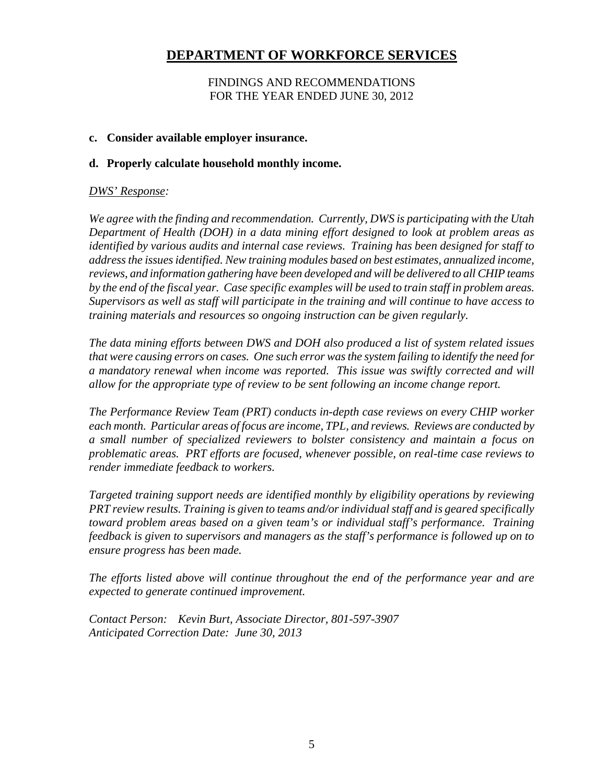### FINDINGS AND RECOMMENDATIONS FOR THE YEAR ENDED JUNE 30, 2012

### **c. Consider available employer insurance.**

### **d. Properly calculate household monthly income.**

### *DWS' Response:*

*We agree with the finding and recommendation. Currently, DWS is participating with the Utah Department of Health (DOH) in a data mining effort designed to look at problem areas as identified by various audits and internal case reviews. Training has been designed for staff to address the issues identified. New training modules based on best estimates, annualized income, reviews, and information gathering have been developed and will be delivered to all CHIP teams by the end of the fiscal year. Case specific examples will be used to train staff in problem areas. Supervisors as well as staff will participate in the training and will continue to have access to training materials and resources so ongoing instruction can be given regularly.* 

*The data mining efforts between DWS and DOH also produced a list of system related issues that were causing errors on cases. One such error was the system failing to identify the need for a mandatory renewal when income was reported. This issue was swiftly corrected and will allow for the appropriate type of review to be sent following an income change report.* 

*The Performance Review Team (PRT) conducts in-depth case reviews on every CHIP worker each month. Particular areas of focus are income, TPL, and reviews. Reviews are conducted by a small number of specialized reviewers to bolster consistency and maintain a focus on problematic areas. PRT efforts are focused, whenever possible, on real-time case reviews to render immediate feedback to workers.* 

*Targeted training support needs are identified monthly by eligibility operations by reviewing PRT review results. Training is given to teams and/or individual staff and is geared specifically toward problem areas based on a given team's or individual staff's performance. Training feedback is given to supervisors and managers as the staff's performance is followed up on to ensure progress has been made.* 

*The efforts listed above will continue throughout the end of the performance year and are expected to generate continued improvement.* 

*Contact Person: Kevin Burt, Associate Director, 801-597-3907 Anticipated Correction Date: June 30, 2013*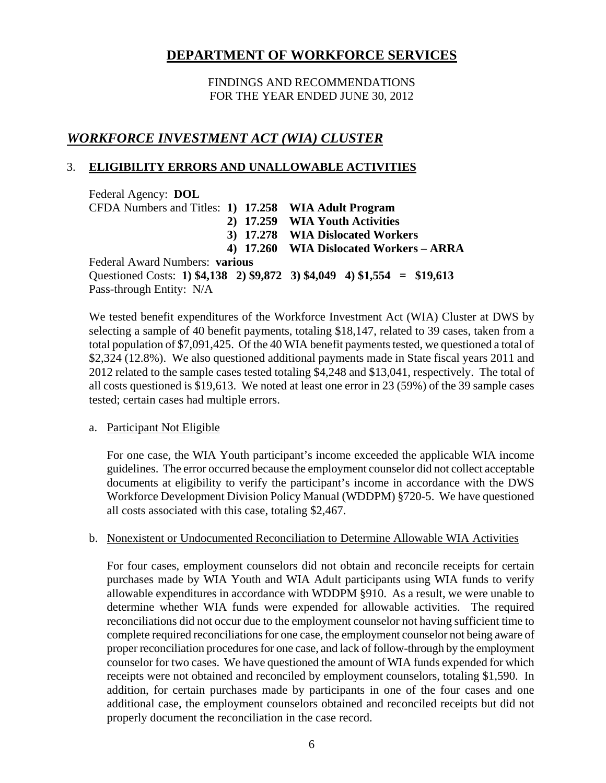FINDINGS AND RECOMMENDATIONS FOR THE YEAR ENDED JUNE 30, 2012

# *WORKFORCE INVESTMENT ACT (WIA) CLUSTER*

# 3. **ELIGIBILITY ERRORS AND UNALLOWABLE ACTIVITIES**

Federal Agency: **DOL** CFDA Numbers and Titles: **1) 17.258 WIA Adult Program 2) 17.259 WIA Youth Activities 3) 17.278 WIA Dislocated Workers 4) 17.260 WIA Dislocated Workers – ARRA**  Federal Award Numbers: **various**  Questioned Costs: **1) \$4,138 2) \$9,872 3) \$4,049 4) \$1,554 = \$19,613**  Pass-through Entity: N/A

We tested benefit expenditures of the Workforce Investment Act (WIA) Cluster at DWS by selecting a sample of 40 benefit payments, totaling \$18,147, related to 39 cases, taken from a total population of \$7,091,425. Of the 40 WIA benefit payments tested, we questioned a total of \$2,324 (12.8%). We also questioned additional payments made in State fiscal years 2011 and 2012 related to the sample cases tested totaling \$4,248 and \$13,041, respectively. The total of all costs questioned is \$19,613. We noted at least one error in 23 (59%) of the 39 sample cases tested; certain cases had multiple errors.

### a. Participant Not Eligible

For one case, the WIA Youth participant's income exceeded the applicable WIA income guidelines. The error occurred because the employment counselor did not collect acceptable documents at eligibility to verify the participant's income in accordance with the DWS Workforce Development Division Policy Manual (WDDPM) §720-5. We have questioned all costs associated with this case, totaling \$2,467.

# b. Nonexistent or Undocumented Reconciliation to Determine Allowable WIA Activities

For four cases, employment counselors did not obtain and reconcile receipts for certain purchases made by WIA Youth and WIA Adult participants using WIA funds to verify allowable expenditures in accordance with WDDPM §910. As a result, we were unable to determine whether WIA funds were expended for allowable activities. The required reconciliations did not occur due to the employment counselor not having sufficient time to complete required reconciliations for one case, the employment counselor not being aware of proper reconciliation procedures for one case, and lack of follow-through by the employment counselor for two cases. We have questioned the amount of WIA funds expended for which receipts were not obtained and reconciled by employment counselors, totaling \$1,590. In addition, for certain purchases made by participants in one of the four cases and one additional case, the employment counselors obtained and reconciled receipts but did not properly document the reconciliation in the case record.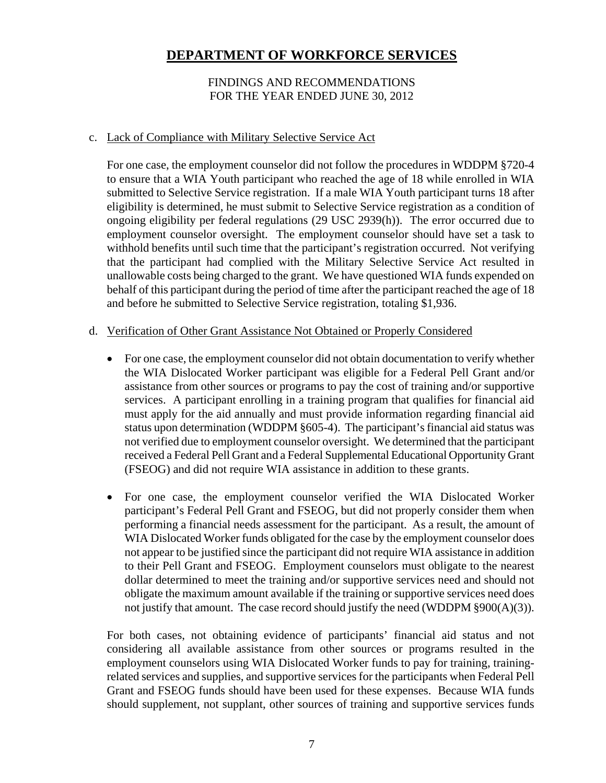### FINDINGS AND RECOMMENDATIONS FOR THE YEAR ENDED JUNE 30, 2012

### c. Lack of Compliance with Military Selective Service Act

For one case, the employment counselor did not follow the procedures in WDDPM §720-4 to ensure that a WIA Youth participant who reached the age of 18 while enrolled in WIA submitted to Selective Service registration. If a male WIA Youth participant turns 18 after eligibility is determined, he must submit to Selective Service registration as a condition of ongoing eligibility per federal regulations (29 USC 2939(h)). The error occurred due to employment counselor oversight. The employment counselor should have set a task to withhold benefits until such time that the participant's registration occurred. Not verifying that the participant had complied with the Military Selective Service Act resulted in unallowable costs being charged to the grant. We have questioned WIA funds expended on behalf of this participant during the period of time after the participant reached the age of 18 and before he submitted to Selective Service registration, totaling \$1,936.

#### d. Verification of Other Grant Assistance Not Obtained or Properly Considered

- For one case, the employment counselor did not obtain documentation to verify whether the WIA Dislocated Worker participant was eligible for a Federal Pell Grant and/or assistance from other sources or programs to pay the cost of training and/or supportive services. A participant enrolling in a training program that qualifies for financial aid must apply for the aid annually and must provide information regarding financial aid status upon determination (WDDPM §605-4). The participant's financial aid status was not verified due to employment counselor oversight. We determined that the participant received a Federal Pell Grant and a Federal Supplemental Educational Opportunity Grant (FSEOG) and did not require WIA assistance in addition to these grants.
- For one case, the employment counselor verified the WIA Dislocated Worker participant's Federal Pell Grant and FSEOG, but did not properly consider them when performing a financial needs assessment for the participant. As a result, the amount of WIA Dislocated Worker funds obligated for the case by the employment counselor does not appear to be justified since the participant did not require WIA assistance in addition to their Pell Grant and FSEOG. Employment counselors must obligate to the nearest dollar determined to meet the training and/or supportive services need and should not obligate the maximum amount available if the training or supportive services need does not justify that amount. The case record should justify the need (WDDPM  $\S 900(A)(3)$ ).

For both cases, not obtaining evidence of participants' financial aid status and not considering all available assistance from other sources or programs resulted in the employment counselors using WIA Dislocated Worker funds to pay for training, trainingrelated services and supplies, and supportive services for the participants when Federal Pell Grant and FSEOG funds should have been used for these expenses. Because WIA funds should supplement, not supplant, other sources of training and supportive services funds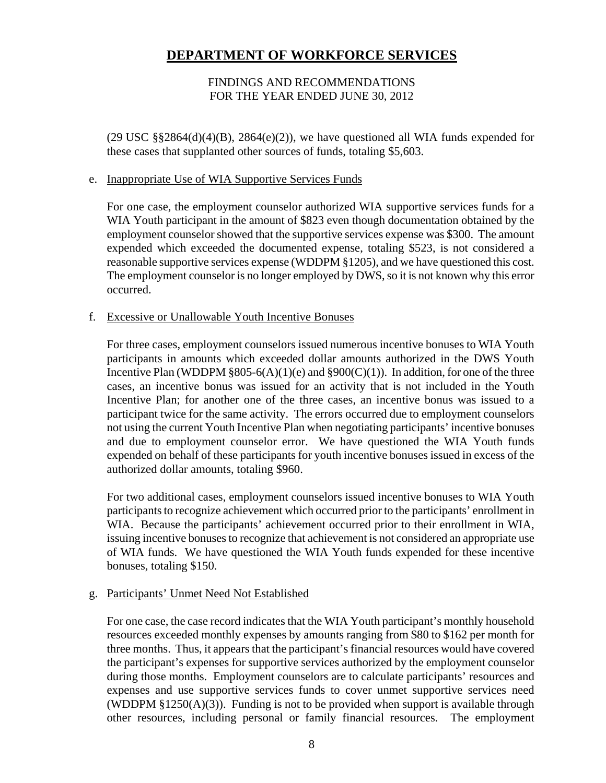### FINDINGS AND RECOMMENDATIONS FOR THE YEAR ENDED JUNE 30, 2012

 $(29 \text{ USC} \text{ } \text{\&} \text{ } \text{\&} 2864(d)(4)(B), 2864(e)(2))$ , we have questioned all WIA funds expended for these cases that supplanted other sources of funds, totaling \$5,603.

#### e. Inappropriate Use of WIA Supportive Services Funds

For one case, the employment counselor authorized WIA supportive services funds for a WIA Youth participant in the amount of \$823 even though documentation obtained by the employment counselor showed that the supportive services expense was \$300. The amount expended which exceeded the documented expense, totaling \$523, is not considered a reasonable supportive services expense (WDDPM §1205), and we have questioned this cost. The employment counselor is no longer employed by DWS, so it is not known why this error occurred.

#### f. Excessive or Unallowable Youth Incentive Bonuses

For three cases, employment counselors issued numerous incentive bonuses to WIA Youth participants in amounts which exceeded dollar amounts authorized in the DWS Youth Incentive Plan (WDDPM  $\S 805-6(A)(1)(e)$  and  $\S 900(C)(1)$ ). In addition, for one of the three cases, an incentive bonus was issued for an activity that is not included in the Youth Incentive Plan; for another one of the three cases, an incentive bonus was issued to a participant twice for the same activity. The errors occurred due to employment counselors not using the current Youth Incentive Plan when negotiating participants' incentive bonuses and due to employment counselor error. We have questioned the WIA Youth funds expended on behalf of these participants for youth incentive bonuses issued in excess of the authorized dollar amounts, totaling \$960.

For two additional cases, employment counselors issued incentive bonuses to WIA Youth participants to recognize achievement which occurred prior to the participants' enrollment in WIA. Because the participants' achievement occurred prior to their enrollment in WIA, issuing incentive bonuses to recognize that achievement is not considered an appropriate use of WIA funds. We have questioned the WIA Youth funds expended for these incentive bonuses, totaling \$150.

### g. Participants' Unmet Need Not Established

For one case, the case record indicates that the WIA Youth participant's monthly household resources exceeded monthly expenses by amounts ranging from \$80 to \$162 per month for three months. Thus, it appears that the participant's financial resources would have covered the participant's expenses for supportive services authorized by the employment counselor during those months. Employment counselors are to calculate participants' resources and expenses and use supportive services funds to cover unmet supportive services need (WDDPM  $\S1250(A)(3)$ ). Funding is not to be provided when support is available through other resources, including personal or family financial resources. The employment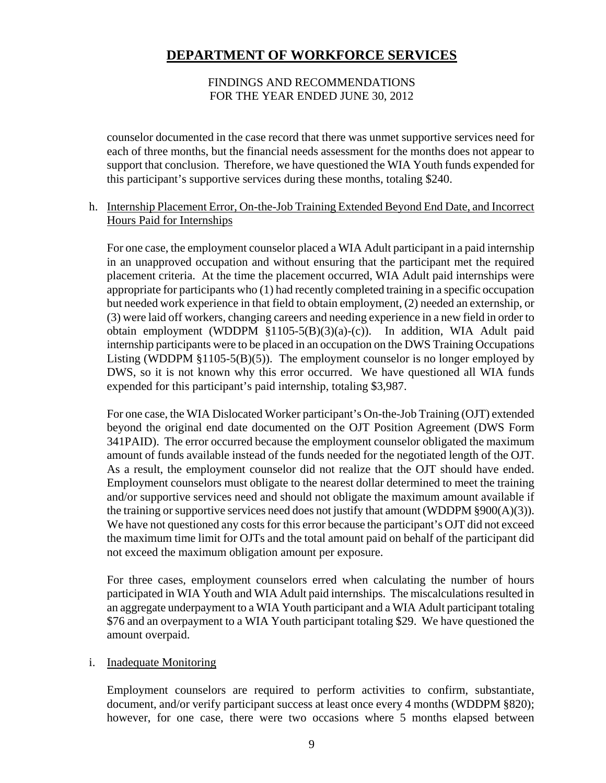### FINDINGS AND RECOMMENDATIONS FOR THE YEAR ENDED JUNE 30, 2012

counselor documented in the case record that there was unmet supportive services need for each of three months, but the financial needs assessment for the months does not appear to support that conclusion. Therefore, we have questioned the WIA Youth funds expended for this participant's supportive services during these months, totaling \$240.

### h. Internship Placement Error, On-the-Job Training Extended Beyond End Date, and Incorrect Hours Paid for Internships

For one case, the employment counselor placed a WIA Adult participant in a paid internship in an unapproved occupation and without ensuring that the participant met the required placement criteria. At the time the placement occurred, WIA Adult paid internships were appropriate for participants who (1) had recently completed training in a specific occupation but needed work experience in that field to obtain employment, (2) needed an externship, or (3) were laid off workers, changing careers and needing experience in a new field in order to obtain employment (WDDPM §1105-5(B)(3)(a)-(c)). In addition, WIA Adult paid internship participants were to be placed in an occupation on the DWS Training Occupations Listing (WDDPM  $\S1105-5(B)(5)$ ). The employment counselor is no longer employed by DWS, so it is not known why this error occurred. We have questioned all WIA funds expended for this participant's paid internship, totaling \$3,987.

For one case, the WIA Dislocated Worker participant's On-the-Job Training (OJT) extended beyond the original end date documented on the OJT Position Agreement (DWS Form 341PAID). The error occurred because the employment counselor obligated the maximum amount of funds available instead of the funds needed for the negotiated length of the OJT. As a result, the employment counselor did not realize that the OJT should have ended. Employment counselors must obligate to the nearest dollar determined to meet the training and/or supportive services need and should not obligate the maximum amount available if the training or supportive services need does not justify that amount (WDDPM §900(A)(3)). We have not questioned any costs for this error because the participant's OJT did not exceed the maximum time limit for OJTs and the total amount paid on behalf of the participant did not exceed the maximum obligation amount per exposure.

For three cases, employment counselors erred when calculating the number of hours participated in WIA Youth and WIA Adult paid internships. The miscalculations resulted in an aggregate underpayment to a WIA Youth participant and a WIA Adult participant totaling \$76 and an overpayment to a WIA Youth participant totaling \$29. We have questioned the amount overpaid.

### i. Inadequate Monitoring

Employment counselors are required to perform activities to confirm, substantiate, document, and/or verify participant success at least once every 4 months (WDDPM §820); however, for one case, there were two occasions where 5 months elapsed between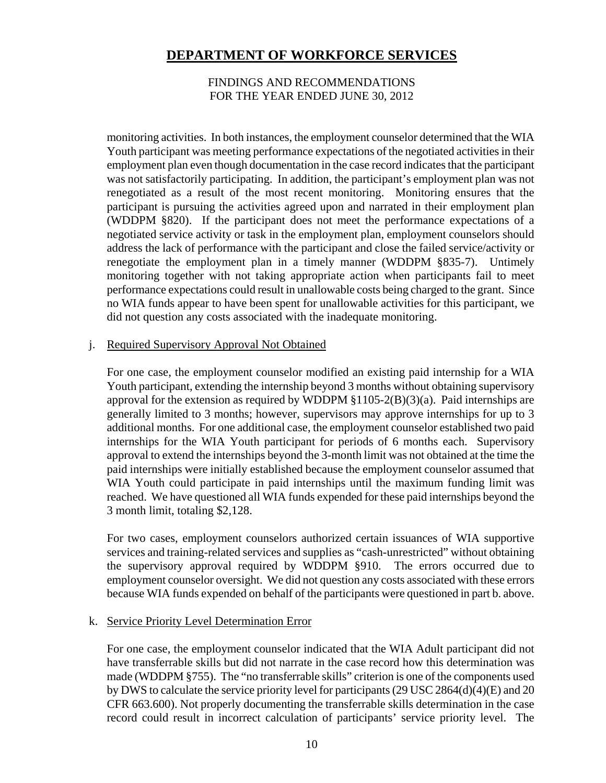#### FINDINGS AND RECOMMENDATIONS FOR THE YEAR ENDED JUNE 30, 2012

monitoring activities. In both instances, the employment counselor determined that the WIA Youth participant was meeting performance expectations of the negotiated activities in their employment plan even though documentation in the case record indicates that the participant was not satisfactorily participating. In addition, the participant's employment plan was not renegotiated as a result of the most recent monitoring. Monitoring ensures that the participant is pursuing the activities agreed upon and narrated in their employment plan (WDDPM §820). If the participant does not meet the performance expectations of a negotiated service activity or task in the employment plan, employment counselors should address the lack of performance with the participant and close the failed service/activity or renegotiate the employment plan in a timely manner (WDDPM §835-7). Untimely monitoring together with not taking appropriate action when participants fail to meet performance expectations could result in unallowable costs being charged to the grant. Since no WIA funds appear to have been spent for unallowable activities for this participant, we did not question any costs associated with the inadequate monitoring.

#### j. Required Supervisory Approval Not Obtained

For one case, the employment counselor modified an existing paid internship for a WIA Youth participant, extending the internship beyond 3 months without obtaining supervisory approval for the extension as required by WDDPM  $\S1105-2(B)(3)(a)$ . Paid internships are generally limited to 3 months; however, supervisors may approve internships for up to 3 additional months. For one additional case, the employment counselor established two paid internships for the WIA Youth participant for periods of 6 months each. Supervisory approval to extend the internships beyond the 3-month limit was not obtained at the time the paid internships were initially established because the employment counselor assumed that WIA Youth could participate in paid internships until the maximum funding limit was reached. We have questioned all WIA funds expended for these paid internships beyond the 3 month limit, totaling \$2,128.

For two cases, employment counselors authorized certain issuances of WIA supportive services and training-related services and supplies as "cash-unrestricted" without obtaining the supervisory approval required by WDDPM §910. The errors occurred due to employment counselor oversight. We did not question any costs associated with these errors because WIA funds expended on behalf of the participants were questioned in part b. above.

### k. Service Priority Level Determination Error

For one case, the employment counselor indicated that the WIA Adult participant did not have transferrable skills but did not narrate in the case record how this determination was made (WDDPM §755). The "no transferrable skills" criterion is one of the components used by DWS to calculate the service priority level for participants (29 USC 2864(d)(4)(E) and 20 CFR 663.600). Not properly documenting the transferrable skills determination in the case record could result in incorrect calculation of participants' service priority level. The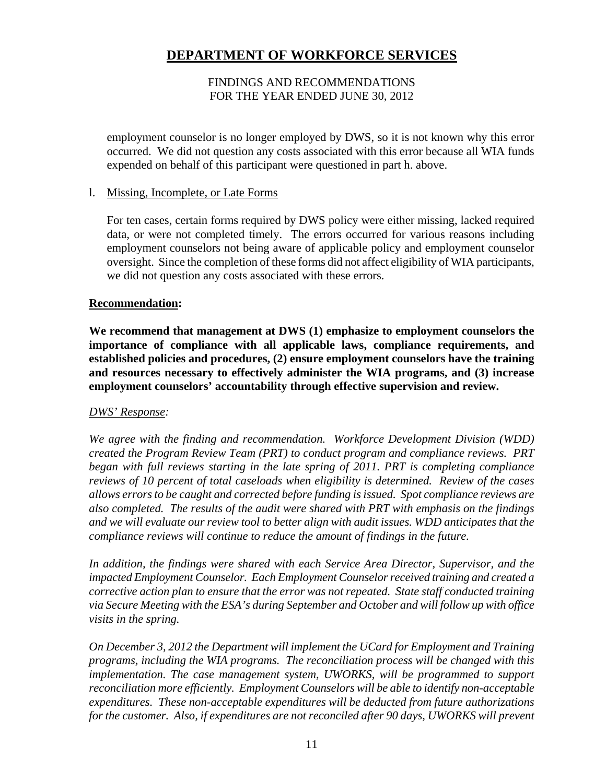### FINDINGS AND RECOMMENDATIONS FOR THE YEAR ENDED JUNE 30, 2012

employment counselor is no longer employed by DWS, so it is not known why this error occurred. We did not question any costs associated with this error because all WIA funds expended on behalf of this participant were questioned in part h. above.

### l. Missing, Incomplete, or Late Forms

For ten cases, certain forms required by DWS policy were either missing, lacked required data, or were not completed timely. The errors occurred for various reasons including employment counselors not being aware of applicable policy and employment counselor oversight. Since the completion of these forms did not affect eligibility of WIA participants, we did not question any costs associated with these errors.

#### **Recommendation:**

**We recommend that management at DWS (1) emphasize to employment counselors the importance of compliance with all applicable laws, compliance requirements, and established policies and procedures, (2) ensure employment counselors have the training and resources necessary to effectively administer the WIA programs, and (3) increase employment counselors' accountability through effective supervision and review.**

### *DWS' Response:*

*We agree with the finding and recommendation. Workforce Development Division (WDD) created the Program Review Team (PRT) to conduct program and compliance reviews. PRT began with full reviews starting in the late spring of 2011. PRT is completing compliance reviews of 10 percent of total caseloads when eligibility is determined. Review of the cases allows errors to be caught and corrected before funding is issued. Spot compliance reviews are also completed. The results of the audit were shared with PRT with emphasis on the findings and we will evaluate our review tool to better align with audit issues. WDD anticipates that the compliance reviews will continue to reduce the amount of findings in the future.* 

*In addition, the findings were shared with each Service Area Director, Supervisor, and the impacted Employment Counselor. Each Employment Counselor received training and created a corrective action plan to ensure that the error was not repeated. State staff conducted training via Secure Meeting with the ESA's during September and October and will follow up with office visits in the spring.* 

*On December 3, 2012 the Department will implement the UCard for Employment and Training programs, including the WIA programs. The reconciliation process will be changed with this implementation. The case management system, UWORKS, will be programmed to support reconciliation more efficiently. Employment Counselors will be able to identify non-acceptable expenditures. These non-acceptable expenditures will be deducted from future authorizations for the customer. Also, if expenditures are not reconciled after 90 days, UWORKS will prevent*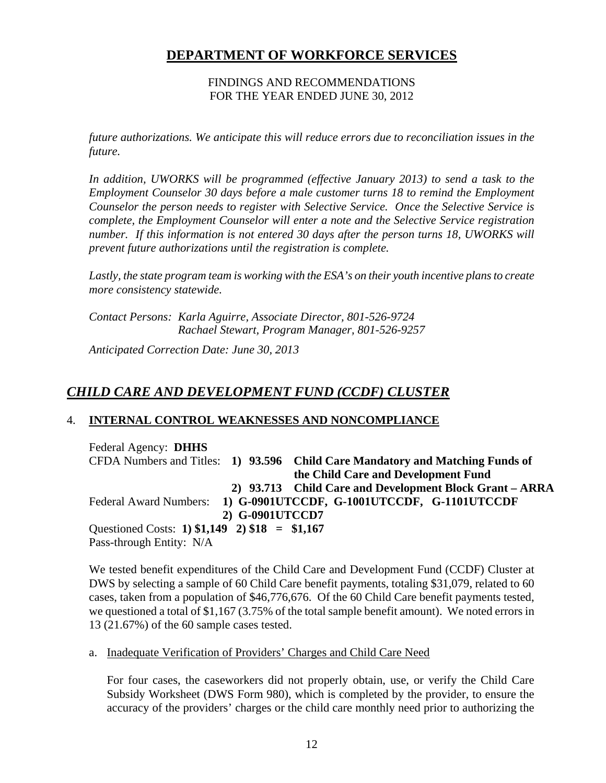### FINDINGS AND RECOMMENDATIONS FOR THE YEAR ENDED JUNE 30, 2012

*future authorizations. We anticipate this will reduce errors due to reconciliation issues in the future.* 

In addition, UWORKS will be programmed (effective January 2013) to send a task to the *Employment Counselor 30 days before a male customer turns 18 to remind the Employment Counselor the person needs to register with Selective Service. Once the Selective Service is complete, the Employment Counselor will enter a note and the Selective Service registration number. If this information is not entered 30 days after the person turns 18, UWORKS will prevent future authorizations until the registration is complete.* 

*Lastly, the state program team is working with the ESA's on their youth incentive plans to create more consistency statewide.* 

*Contact Persons: Karla Aguirre, Associate Director, 801-526-9724 Rachael Stewart, Program Manager, 801-526-9257* 

*Anticipated Correction Date: June 30, 2013*

# *CHILD CARE AND DEVELOPMENT FUND (CCDF) CLUSTER*

# 4. **INTERNAL CONTROL WEAKNESSES AND NONCOMPLIANCE**

Federal Agency: **DHHS** CFDA Numbers and Titles: **1) 93.596 Child Care Mandatory and Matching Funds of the Child Care and Development Fund 2) 93.713 Child Care and Development Block Grant – ARRA**  Federal Award Numbers: **1) G-0901UTCCDF, G-1001UTCCDF, G-1101UTCCDF 2) G-0901UTCCD7**  Questioned Costs: **1) \$1,149 2) \$18 = \$1,167**  Pass-through Entity: N/A

We tested benefit expenditures of the Child Care and Development Fund (CCDF) Cluster at DWS by selecting a sample of 60 Child Care benefit payments, totaling \$31,079, related to 60 cases, taken from a population of \$46,776,676. Of the 60 Child Care benefit payments tested, we questioned a total of \$1,167 (3.75% of the total sample benefit amount). We noted errors in 13 (21.67%) of the 60 sample cases tested.

### a. Inadequate Verification of Providers' Charges and Child Care Need

For four cases, the caseworkers did not properly obtain, use, or verify the Child Care Subsidy Worksheet (DWS Form 980), which is completed by the provider, to ensure the accuracy of the providers' charges or the child care monthly need prior to authorizing the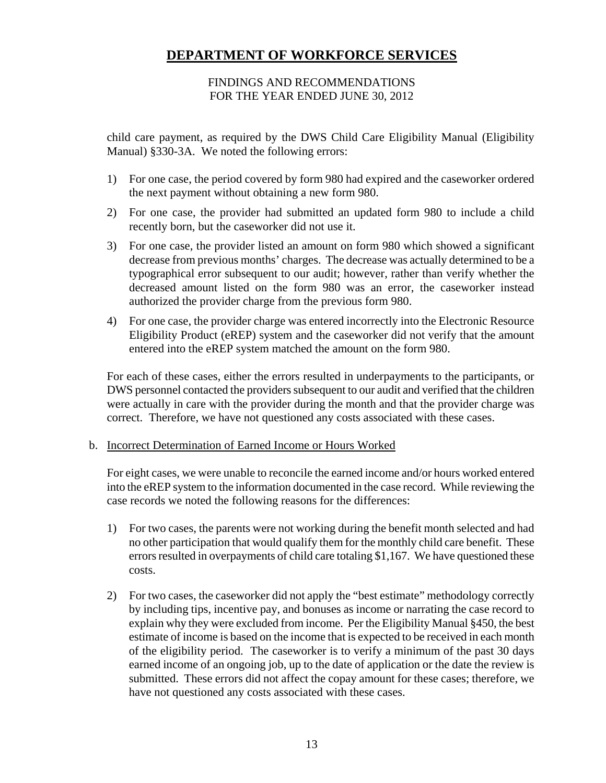### FINDINGS AND RECOMMENDATIONS FOR THE YEAR ENDED JUNE 30, 2012

child care payment, as required by the DWS Child Care Eligibility Manual (Eligibility Manual) §330-3A. We noted the following errors:

- 1) For one case, the period covered by form 980 had expired and the caseworker ordered the next payment without obtaining a new form 980.
- 2) For one case, the provider had submitted an updated form 980 to include a child recently born, but the caseworker did not use it.
- 3) For one case, the provider listed an amount on form 980 which showed a significant decrease from previous months' charges. The decrease was actually determined to be a typographical error subsequent to our audit; however, rather than verify whether the decreased amount listed on the form 980 was an error, the caseworker instead authorized the provider charge from the previous form 980.
- 4) For one case, the provider charge was entered incorrectly into the Electronic Resource Eligibility Product (eREP) system and the caseworker did not verify that the amount entered into the eREP system matched the amount on the form 980.

For each of these cases, either the errors resulted in underpayments to the participants, or DWS personnel contacted the providers subsequent to our audit and verified that the children were actually in care with the provider during the month and that the provider charge was correct. Therefore, we have not questioned any costs associated with these cases.

### b. Incorrect Determination of Earned Income or Hours Worked

For eight cases, we were unable to reconcile the earned income and/or hours worked entered into the eREP system to the information documented in the case record. While reviewing the case records we noted the following reasons for the differences:

- 1) For two cases, the parents were not working during the benefit month selected and had no other participation that would qualify them for the monthly child care benefit. These errors resulted in overpayments of child care totaling \$1,167. We have questioned these costs.
- 2) For two cases, the caseworker did not apply the "best estimate" methodology correctly by including tips, incentive pay, and bonuses as income or narrating the case record to explain why they were excluded from income. Per the Eligibility Manual §450, the best estimate of income is based on the income that is expected to be received in each month of the eligibility period. The caseworker is to verify a minimum of the past 30 days earned income of an ongoing job, up to the date of application or the date the review is submitted. These errors did not affect the copay amount for these cases; therefore, we have not questioned any costs associated with these cases.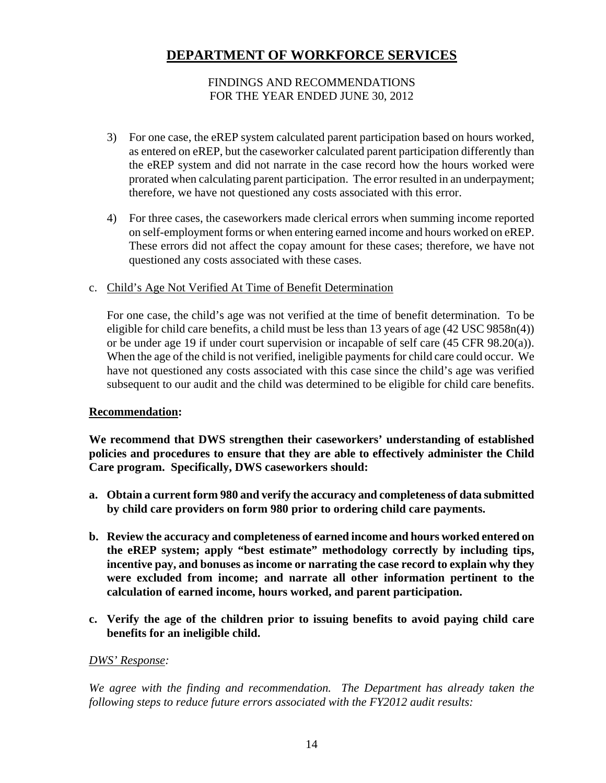### FINDINGS AND RECOMMENDATIONS FOR THE YEAR ENDED JUNE 30, 2012

- 3) For one case, the eREP system calculated parent participation based on hours worked, as entered on eREP, but the caseworker calculated parent participation differently than the eREP system and did not narrate in the case record how the hours worked were prorated when calculating parent participation. The error resulted in an underpayment; therefore, we have not questioned any costs associated with this error.
- 4) For three cases, the caseworkers made clerical errors when summing income reported on self-employment forms or when entering earned income and hours worked on eREP. These errors did not affect the copay amount for these cases; therefore, we have not questioned any costs associated with these cases.

### c. Child's Age Not Verified At Time of Benefit Determination

For one case, the child's age was not verified at the time of benefit determination. To be eligible for child care benefits, a child must be less than 13 years of age (42 USC 9858n(4)) or be under age 19 if under court supervision or incapable of self care (45 CFR 98.20(a)). When the age of the child is not verified, ineligible payments for child care could occur. We have not questioned any costs associated with this case since the child's age was verified subsequent to our audit and the child was determined to be eligible for child care benefits.

### **Recommendation:**

**We recommend that DWS strengthen their caseworkers' understanding of established policies and procedures to ensure that they are able to effectively administer the Child Care program. Specifically, DWS caseworkers should:** 

- **a. Obtain a current form 980 and verify the accuracy and completeness of data submitted by child care providers on form 980 prior to ordering child care payments.**
- **b. Review the accuracy and completeness of earned income and hours worked entered on the eREP system; apply "best estimate" methodology correctly by including tips, incentive pay, and bonuses as income or narrating the case record to explain why they were excluded from income; and narrate all other information pertinent to the calculation of earned income, hours worked, and parent participation.**
- **c. Verify the age of the children prior to issuing benefits to avoid paying child care benefits for an ineligible child.**

# *DWS' Response:*

We agree with the finding and recommendation. The Department has already taken the *following steps to reduce future errors associated with the FY2012 audit results:*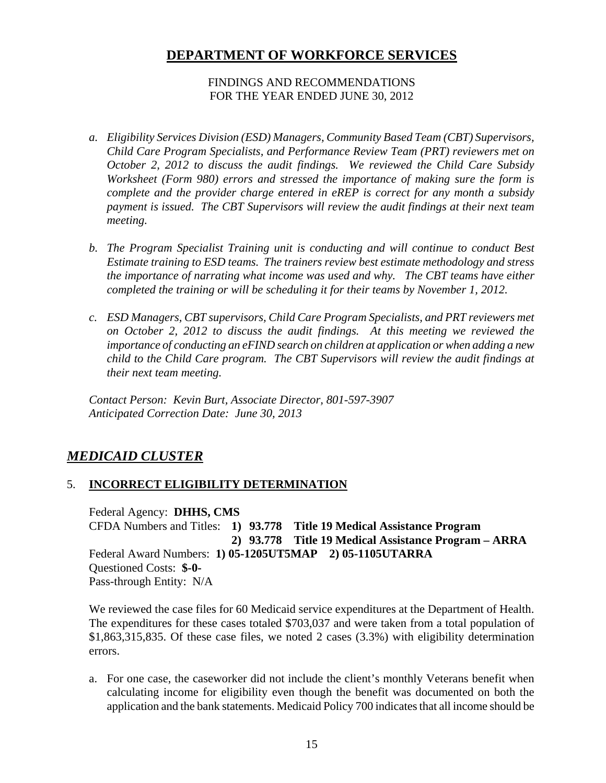### FINDINGS AND RECOMMENDATIONS FOR THE YEAR ENDED JUNE 30, 2012

- *a. Eligibility Services Division (ESD) Managers, Community Based Team (CBT) Supervisors, Child Care Program Specialists, and Performance Review Team (PRT) reviewers met on October 2, 2012 to discuss the audit findings. We reviewed the Child Care Subsidy Worksheet (Form 980) errors and stressed the importance of making sure the form is complete and the provider charge entered in eREP is correct for any month a subsidy payment is issued. The CBT Supervisors will review the audit findings at their next team meeting.*
- *b. The Program Specialist Training unit is conducting and will continue to conduct Best Estimate training to ESD teams. The trainers review best estimate methodology and stress the importance of narrating what income was used and why. The CBT teams have either completed the training or will be scheduling it for their teams by November 1, 2012.*
- *c. ESD Managers, CBT supervisors, Child Care Program Specialists, and PRT reviewers met on October 2, 2012 to discuss the audit findings. At this meeting we reviewed the importance of conducting an eFIND search on children at application or when adding a new child to the Child Care program. The CBT Supervisors will review the audit findings at their next team meeting.*

*Contact Person: Kevin Burt, Associate Director, 801-597-3907 Anticipated Correction Date: June 30, 2013* 

# *MEDICAID CLUSTER*

# 5. **INCORRECT ELIGIBILITY DETERMINATION**

Federal Agency: **DHHS, CMS** CFDA Numbers and Titles: **1) 93.778 Title 19 Medical Assistance Program 2) 93.778 Title 19 Medical Assistance Program – ARRA**  Federal Award Numbers: **1) 05-1205UT5MAP 2) 05-1105UTARRA**  Questioned Costs: **\$-0-**  Pass-through Entity: N/A

We reviewed the case files for 60 Medicaid service expenditures at the Department of Health. The expenditures for these cases totaled \$703,037 and were taken from a total population of \$1,863,315,835. Of these case files, we noted 2 cases (3.3%) with eligibility determination errors.

a. For one case, the caseworker did not include the client's monthly Veterans benefit when calculating income for eligibility even though the benefit was documented on both the application and the bank statements. Medicaid Policy 700 indicates that all income should be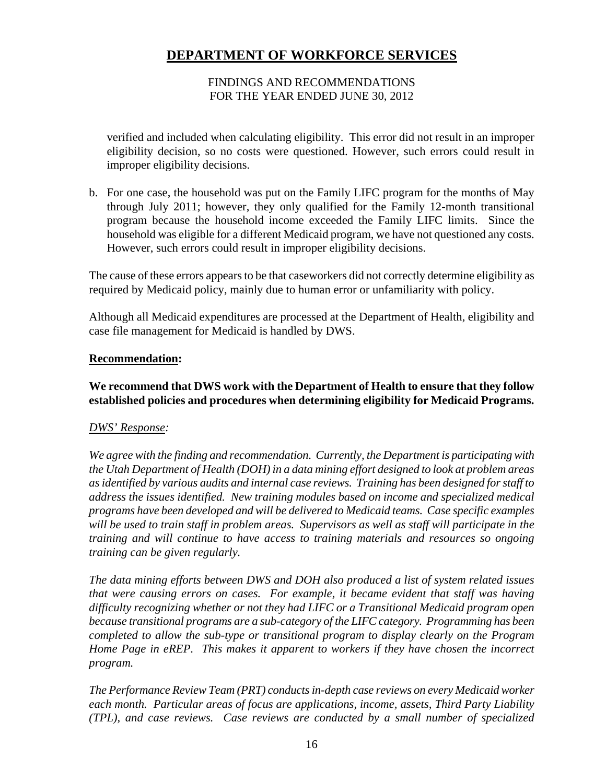### FINDINGS AND RECOMMENDATIONS FOR THE YEAR ENDED JUNE 30, 2012

verified and included when calculating eligibility. This error did not result in an improper eligibility decision, so no costs were questioned. However, such errors could result in improper eligibility decisions.

b. For one case, the household was put on the Family LIFC program for the months of May through July 2011; however, they only qualified for the Family 12-month transitional program because the household income exceeded the Family LIFC limits. Since the household was eligible for a different Medicaid program, we have not questioned any costs. However, such errors could result in improper eligibility decisions.

The cause of these errors appears to be that caseworkers did not correctly determine eligibility as required by Medicaid policy, mainly due to human error or unfamiliarity with policy.

Although all Medicaid expenditures are processed at the Department of Health, eligibility and case file management for Medicaid is handled by DWS.

### **Recommendation:**

# **We recommend that DWS work with the Department of Health to ensure that they follow established policies and procedures when determining eligibility for Medicaid Programs.**

### *DWS' Response:*

*We agree with the finding and recommendation. Currently, the Department is participating with the Utah Department of Health (DOH) in a data mining effort designed to look at problem areas as identified by various audits and internal case reviews. Training has been designed for staff to address the issues identified. New training modules based on income and specialized medical programs have been developed and will be delivered to Medicaid teams. Case specific examples will be used to train staff in problem areas. Supervisors as well as staff will participate in the training and will continue to have access to training materials and resources so ongoing training can be given regularly.* 

*The data mining efforts between DWS and DOH also produced a list of system related issues that were causing errors on cases. For example, it became evident that staff was having difficulty recognizing whether or not they had LIFC or a Transitional Medicaid program open because transitional programs are a sub-category of the LIFC category. Programming has been completed to allow the sub-type or transitional program to display clearly on the Program Home Page in eREP. This makes it apparent to workers if they have chosen the incorrect program.* 

*The Performance Review Team (PRT) conducts in-depth case reviews on every Medicaid worker each month. Particular areas of focus are applications, income, assets, Third Party Liability (TPL), and case reviews. Case reviews are conducted by a small number of specialized*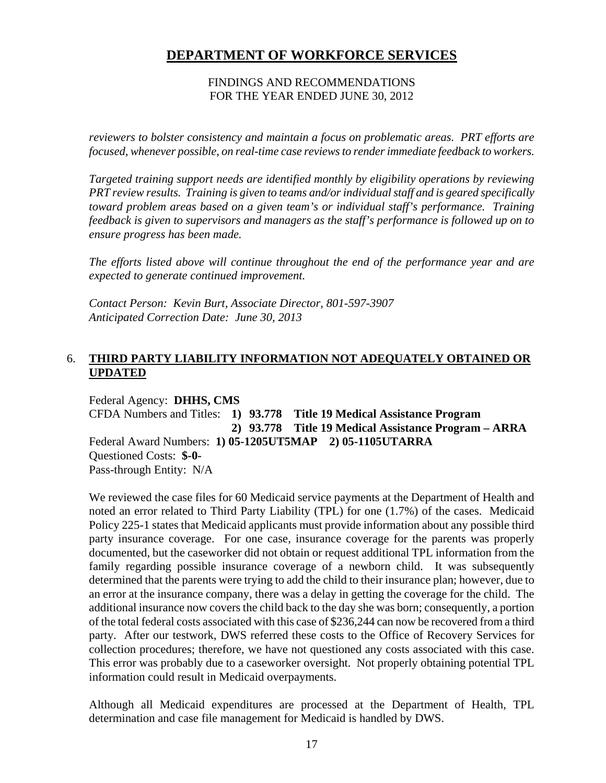### FINDINGS AND RECOMMENDATIONS FOR THE YEAR ENDED JUNE 30, 2012

*reviewers to bolster consistency and maintain a focus on problematic areas. PRT efforts are focused, whenever possible, on real-time case reviews to render immediate feedback to workers.* 

*Targeted training support needs are identified monthly by eligibility operations by reviewing PRT review results. Training is given to teams and/or individual staff and is geared specifically toward problem areas based on a given team's or individual staff's performance. Training feedback is given to supervisors and managers as the staff's performance is followed up on to ensure progress has been made.* 

*The efforts listed above will continue throughout the end of the performance year and are expected to generate continued improvement.* 

*Contact Person: Kevin Burt, Associate Director, 801-597-3907 Anticipated Correction Date: June 30, 2013* 

# 6. **THIRD PARTY LIABILITY INFORMATION NOT ADEQUATELY OBTAINED OR UPDATED**

Federal Agency: **DHHS, CMS** CFDA Numbers and Titles: **1) 93.778 Title 19 Medical Assistance Program 2) 93.778 Title 19 Medical Assistance Program – ARRA**  Federal Award Numbers: **1) 05-1205UT5MAP 2) 05-1105UTARRA**  Questioned Costs: **\$-0-**  Pass-through Entity: N/A

We reviewed the case files for 60 Medicaid service payments at the Department of Health and noted an error related to Third Party Liability (TPL) for one (1.7%) of the cases. Medicaid Policy 225-1 states that Medicaid applicants must provide information about any possible third party insurance coverage. For one case, insurance coverage for the parents was properly documented, but the caseworker did not obtain or request additional TPL information from the family regarding possible insurance coverage of a newborn child. It was subsequently determined that the parents were trying to add the child to their insurance plan; however, due to an error at the insurance company, there was a delay in getting the coverage for the child. The additional insurance now covers the child back to the day she was born; consequently, a portion of the total federal costs associated with this case of \$236,244 can now be recovered from a third party. After our testwork, DWS referred these costs to the Office of Recovery Services for collection procedures; therefore, we have not questioned any costs associated with this case. This error was probably due to a caseworker oversight. Not properly obtaining potential TPL information could result in Medicaid overpayments.

Although all Medicaid expenditures are processed at the Department of Health, TPL determination and case file management for Medicaid is handled by DWS.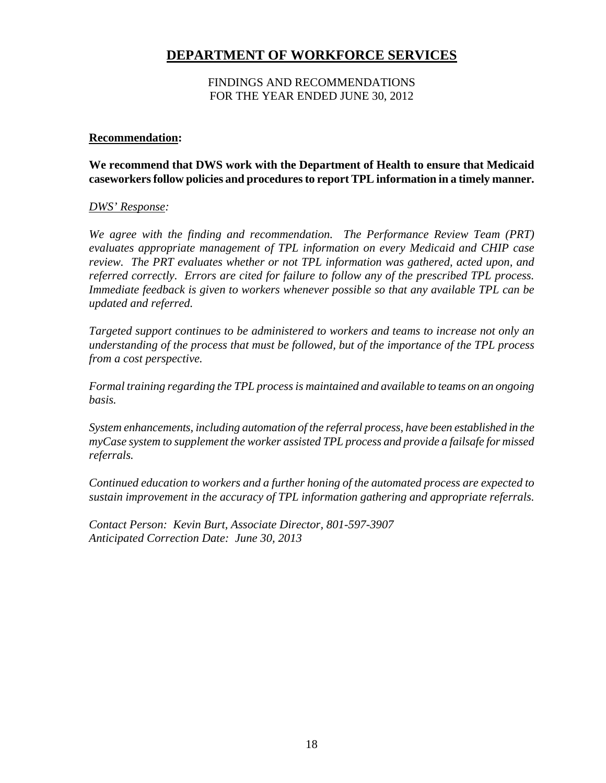### FINDINGS AND RECOMMENDATIONS FOR THE YEAR ENDED JUNE 30, 2012

### **Recommendation:**

### **We recommend that DWS work with the Department of Health to ensure that Medicaid caseworkers follow policies and procedures to report TPL information in a timely manner.**

#### *DWS' Response:*

*We agree with the finding and recommendation. The Performance Review Team (PRT) evaluates appropriate management of TPL information on every Medicaid and CHIP case review. The PRT evaluates whether or not TPL information was gathered, acted upon, and referred correctly. Errors are cited for failure to follow any of the prescribed TPL process. Immediate feedback is given to workers whenever possible so that any available TPL can be updated and referred.* 

*Targeted support continues to be administered to workers and teams to increase not only an understanding of the process that must be followed, but of the importance of the TPL process from a cost perspective.* 

*Formal training regarding the TPL process is maintained and available to teams on an ongoing basis.* 

*System enhancements, including automation of the referral process, have been established in the myCase system to supplement the worker assisted TPL process and provide a failsafe for missed referrals.* 

*Continued education to workers and a further honing of the automated process are expected to sustain improvement in the accuracy of TPL information gathering and appropriate referrals.* 

*Contact Person: Kevin Burt, Associate Director, 801-597-3907 Anticipated Correction Date: June 30, 2013*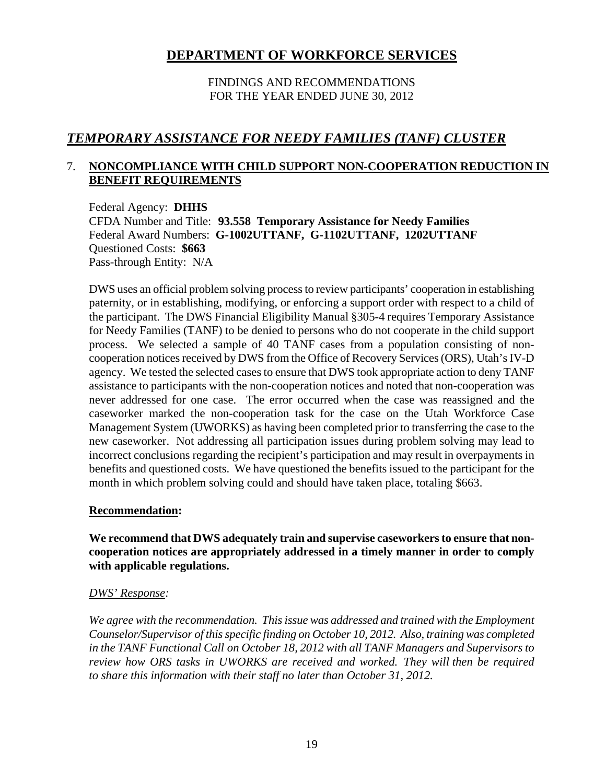# FINDINGS AND RECOMMENDATIONS FOR THE YEAR ENDED JUNE 30, 2012

# *TEMPORARY ASSISTANCE FOR NEEDY FAMILIES (TANF) CLUSTER*

# 7. **NONCOMPLIANCE WITH CHILD SUPPORT NON-COOPERATION REDUCTION IN BENEFIT REQUIREMENTS**

Federal Agency: **DHHS** CFDA Number and Title: **93.558 Temporary Assistance for Needy Families**  Federal Award Numbers: **G-1002UTTANF, G-1102UTTANF, 1202UTTANF**  Questioned Costs: **\$663**  Pass-through Entity: N/A

DWS uses an official problem solving process to review participants' cooperation in establishing paternity, or in establishing, modifying, or enforcing a support order with respect to a child of the participant. The DWS Financial Eligibility Manual §305-4 requires Temporary Assistance for Needy Families (TANF) to be denied to persons who do not cooperate in the child support process. We selected a sample of 40 TANF cases from a population consisting of noncooperation notices received by DWS from the Office of Recovery Services (ORS), Utah's IV-D agency. We tested the selected cases to ensure that DWS took appropriate action to deny TANF assistance to participants with the non-cooperation notices and noted that non-cooperation was never addressed for one case. The error occurred when the case was reassigned and the caseworker marked the non-cooperation task for the case on the Utah Workforce Case Management System (UWORKS) as having been completed prior to transferring the case to the new caseworker. Not addressing all participation issues during problem solving may lead to incorrect conclusions regarding the recipient's participation and may result in overpayments in benefits and questioned costs. We have questioned the benefits issued to the participant for the month in which problem solving could and should have taken place, totaling \$663.

### **Recommendation:**

**We recommend that DWS adequately train and supervise caseworkers to ensure that noncooperation notices are appropriately addressed in a timely manner in order to comply with applicable regulations.** 

### *DWS' Response:*

*We agree with the recommendation. This issue was addressed and trained with the Employment Counselor/Supervisor of this specific finding on October 10, 2012. Also, training was completed in the TANF Functional Call on October 18, 2012 with all TANF Managers and Supervisors to review how ORS tasks in UWORKS are received and worked. They will then be required to share this information with their staff no later than October 31, 2012.*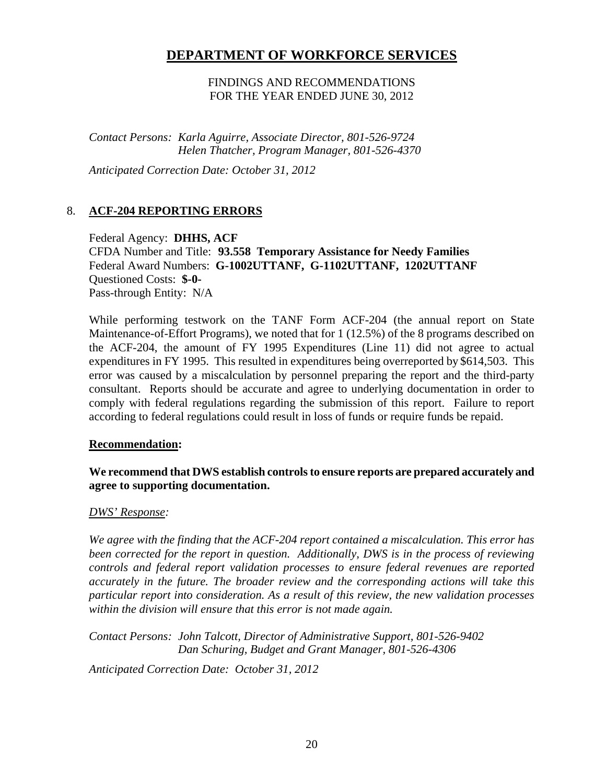FINDINGS AND RECOMMENDATIONS FOR THE YEAR ENDED JUNE 30, 2012

*Contact Persons: Karla Aguirre, Associate Director, 801-526-9724 Helen Thatcher, Program Manager, 801-526-4370* 

*Anticipated Correction Date: October 31, 2012*

### 8. **ACF-204 REPORTING ERRORS**

Federal Agency: **DHHS, ACF** CFDA Number and Title: **93.558 Temporary Assistance for Needy Families**  Federal Award Numbers: **G-1002UTTANF, G-1102UTTANF, 1202UTTANF**  Questioned Costs: **\$-0-**  Pass-through Entity: N/A

While performing testwork on the TANF Form ACF-204 (the annual report on State Maintenance-of-Effort Programs), we noted that for 1 (12.5%) of the 8 programs described on the ACF-204, the amount of FY 1995 Expenditures (Line 11) did not agree to actual expenditures in FY 1995. This resulted in expenditures being overreported by \$614,503. This error was caused by a miscalculation by personnel preparing the report and the third-party consultant. Reports should be accurate and agree to underlying documentation in order to comply with federal regulations regarding the submission of this report. Failure to report according to federal regulations could result in loss of funds or require funds be repaid.

### **Recommendation:**

### **We recommend that DWS establish controls to ensure reports are prepared accurately and agree to supporting documentation.**

### *DWS' Response:*

*We agree with the finding that the ACF-204 report contained a miscalculation. This error has been corrected for the report in question. Additionally, DWS is in the process of reviewing controls and federal report validation processes to ensure federal revenues are reported accurately in the future. The broader review and the corresponding actions will take this particular report into consideration. As a result of this review, the new validation processes within the division will ensure that this error is not made again.* 

*Contact Persons: John Talcott, Director of Administrative Support, 801-526-9402 Dan Schuring, Budget and Grant Manager, 801-526-4306* 

*Anticipated Correction Date: October 31, 2012*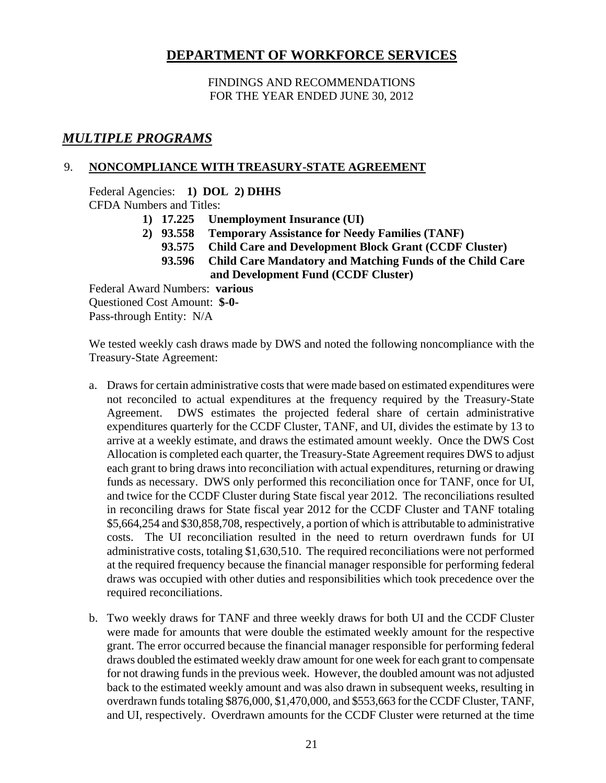FINDINGS AND RECOMMENDATIONS FOR THE YEAR ENDED JUNE 30, 2012

# *MULTIPLE PROGRAMS*

### 9. **NONCOMPLIANCE WITH TREASURY-STATE AGREEMENT**

Federal Agencies: **1) DOL 2) DHHS** 

CFDA Numbers and Titles:

- **1) 17.225 Unemployment Insurance (UI)**
- **2) 93.558 Temporary Assistance for Needy Families (TANF)** 
	- **93.575 Child Care and Development Block Grant (CCDF Cluster)**
	- **93.596 Child Care Mandatory and Matching Funds of the Child Care and Development Fund (CCDF Cluster)**

Federal Award Numbers: **various**  Questioned Cost Amount: **\$-0-** Pass-through Entity: N/A

We tested weekly cash draws made by DWS and noted the following noncompliance with the Treasury-State Agreement:

- a. Draws for certain administrative costs that were made based on estimated expenditures were not reconciled to actual expenditures at the frequency required by the Treasury-State Agreement. DWS estimates the projected federal share of certain administrative expenditures quarterly for the CCDF Cluster, TANF, and UI, divides the estimate by 13 to arrive at a weekly estimate, and draws the estimated amount weekly. Once the DWS Cost Allocation is completed each quarter, the Treasury-State Agreement requires DWS to adjust each grant to bring draws into reconciliation with actual expenditures, returning or drawing funds as necessary. DWS only performed this reconciliation once for TANF, once for UI, and twice for the CCDF Cluster during State fiscal year 2012. The reconciliations resulted in reconciling draws for State fiscal year 2012 for the CCDF Cluster and TANF totaling \$5,664,254 and \$30,858,708, respectively, a portion of which is attributable to administrative costs. The UI reconciliation resulted in the need to return overdrawn funds for UI administrative costs, totaling \$1,630,510. The required reconciliations were not performed at the required frequency because the financial manager responsible for performing federal draws was occupied with other duties and responsibilities which took precedence over the required reconciliations.
- b. Two weekly draws for TANF and three weekly draws for both UI and the CCDF Cluster were made for amounts that were double the estimated weekly amount for the respective grant. The error occurred because the financial manager responsible for performing federal draws doubled the estimated weekly draw amount for one week for each grant to compensate for not drawing funds in the previous week. However, the doubled amount was not adjusted back to the estimated weekly amount and was also drawn in subsequent weeks, resulting in overdrawn funds totaling \$876,000, \$1,470,000, and \$553,663 for the CCDF Cluster, TANF, and UI, respectively. Overdrawn amounts for the CCDF Cluster were returned at the time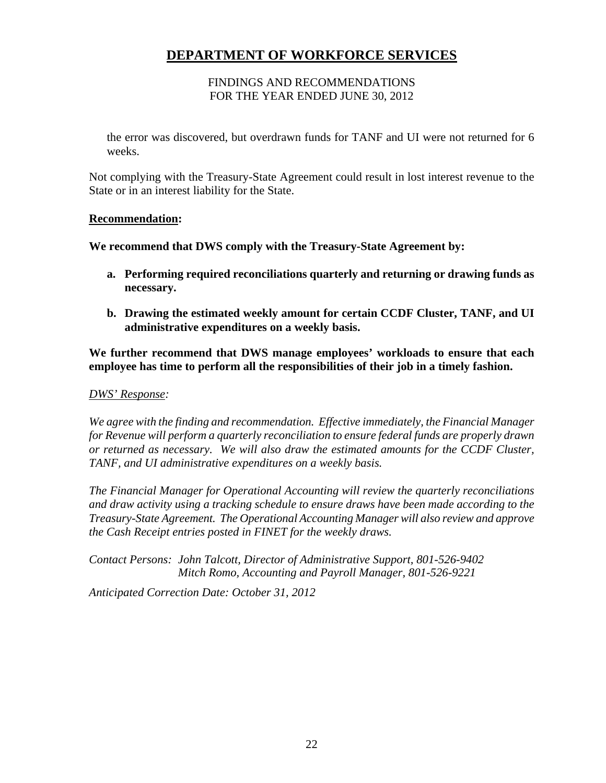### FINDINGS AND RECOMMENDATIONS FOR THE YEAR ENDED JUNE 30, 2012

the error was discovered, but overdrawn funds for TANF and UI were not returned for 6 weeks.

Not complying with the Treasury-State Agreement could result in lost interest revenue to the State or in an interest liability for the State.

### **Recommendation:**

**We recommend that DWS comply with the Treasury-State Agreement by:** 

- **a. Performing required reconciliations quarterly and returning or drawing funds as necessary.**
- **b. Drawing the estimated weekly amount for certain CCDF Cluster, TANF, and UI administrative expenditures on a weekly basis.**

**We further recommend that DWS manage employees' workloads to ensure that each employee has time to perform all the responsibilities of their job in a timely fashion.** 

#### *DWS' Response:*

*We agree with the finding and recommendation. Effective immediately, the Financial Manager for Revenue will perform a quarterly reconciliation to ensure federal funds are properly drawn or returned as necessary. We will also draw the estimated amounts for the CCDF Cluster, TANF, and UI administrative expenditures on a weekly basis.* 

*The Financial Manager for Operational Accounting will review the quarterly reconciliations and draw activity using a tracking schedule to ensure draws have been made according to the Treasury-State Agreement. The Operational Accounting Manager will also review and approve the Cash Receipt entries posted in FINET for the weekly draws.* 

*Contact Persons: John Talcott, Director of Administrative Support, 801-526-9402 Mitch Romo, Accounting and Payroll Manager, 801-526-9221* 

*Anticipated Correction Date: October 31, 2012*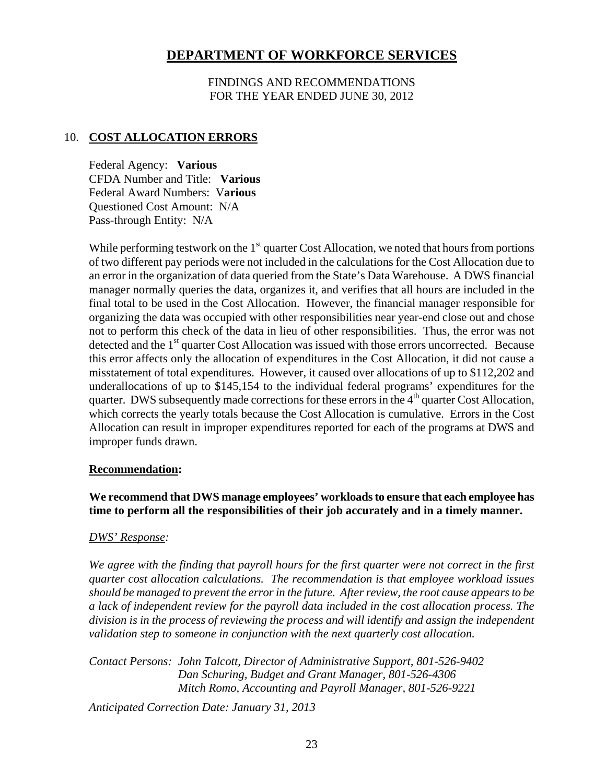FINDINGS AND RECOMMENDATIONS FOR THE YEAR ENDED JUNE 30, 2012

### 10. **COST ALLOCATION ERRORS**

Federal Agency: **Various**  CFDA Number and Title: **Various** Federal Award Numbers: V**arious**  Questioned Cost Amount: N/A Pass-through Entity: N/A

While performing testwork on the  $1<sup>st</sup>$  quarter Cost Allocation, we noted that hours from portions of two different pay periods were not included in the calculations for the Cost Allocation due to an error in the organization of data queried from the State's Data Warehouse. A DWS financial manager normally queries the data, organizes it, and verifies that all hours are included in the final total to be used in the Cost Allocation. However, the financial manager responsible for organizing the data was occupied with other responsibilities near year-end close out and chose not to perform this check of the data in lieu of other responsibilities. Thus, the error was not detected and the  $1<sup>st</sup>$  quarter Cost Allocation was issued with those errors uncorrected. Because this error affects only the allocation of expenditures in the Cost Allocation, it did not cause a misstatement of total expenditures. However, it caused over allocations of up to \$112,202 and underallocations of up to \$145,154 to the individual federal programs' expenditures for the quarter. DWS subsequently made corrections for these errors in the  $4<sup>th</sup>$  quarter Cost Allocation, which corrects the yearly totals because the Cost Allocation is cumulative. Errors in the Cost Allocation can result in improper expenditures reported for each of the programs at DWS and improper funds drawn.

### **Recommendation:**

**We recommend that DWS manage employees' workloads to ensure that each employee has time to perform all the responsibilities of their job accurately and in a timely manner.** 

#### *DWS' Response:*

*We agree with the finding that payroll hours for the first quarter were not correct in the first quarter cost allocation calculations. The recommendation is that employee workload issues should be managed to prevent the error in the future. After review, the root cause appears to be a lack of independent review for the payroll data included in the cost allocation process. The division is in the process of reviewing the process and will identify and assign the independent validation step to someone in conjunction with the next quarterly cost allocation.* 

*Contact Persons: John Talcott, Director of Administrative Support, 801-526-9402 Dan Schuring, Budget and Grant Manager, 801-526-4306 Mitch Romo, Accounting and Payroll Manager, 801-526-9221* 

*Anticipated Correction Date: January 31, 2013*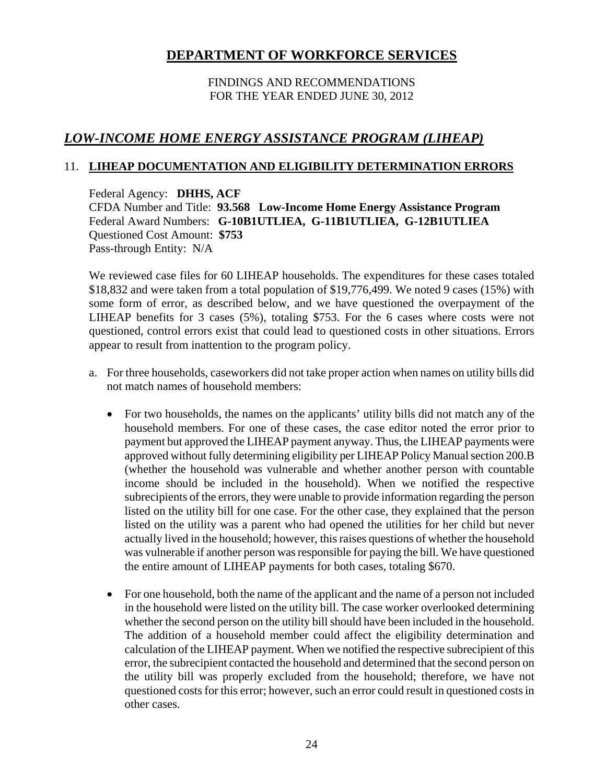### FINDINGS AND RECOMMENDATIONS FOR THE YEAR ENDED JUNE 30, 2012

# *LOW-INCOME HOME ENERGY ASSISTANCE PROGRAM (LIHEAP)*

# 11. **LIHEAP DOCUMENTATION AND ELIGIBILITY DETERMINATION ERRORS**

Federal Agency: **DHHS, ACF**  CFDA Number and Title: **93.568 Low-Income Home Energy Assistance Program** Federal Award Numbers: **G-10B1UTLIEA, G-11B1UTLIEA, G-12B1UTLIEA** Questioned Cost Amount: **\$753** Pass-through Entity: N/A

We reviewed case files for 60 LIHEAP households. The expenditures for these cases totaled \$18,832 and were taken from a total population of \$19,776,499. We noted 9 cases (15%) with some form of error, as described below, and we have questioned the overpayment of the LIHEAP benefits for 3 cases (5%), totaling \$753. For the 6 cases where costs were not questioned, control errors exist that could lead to questioned costs in other situations. Errors appear to result from inattention to the program policy.

- a. For three households, caseworkers did not take proper action when names on utility bills did not match names of household members:
	- For two households, the names on the applicants' utility bills did not match any of the household members. For one of these cases, the case editor noted the error prior to payment but approved the LIHEAP payment anyway. Thus, the LIHEAP payments were approved without fully determining eligibility per LIHEAP Policy Manual section 200.B (whether the household was vulnerable and whether another person with countable income should be included in the household). When we notified the respective subrecipients of the errors, they were unable to provide information regarding the person listed on the utility bill for one case. For the other case, they explained that the person listed on the utility was a parent who had opened the utilities for her child but never actually lived in the household; however, this raises questions of whether the household was vulnerable if another person was responsible for paying the bill. We have questioned the entire amount of LIHEAP payments for both cases, totaling \$670.
	- For one household, both the name of the applicant and the name of a person not included in the household were listed on the utility bill. The case worker overlooked determining whether the second person on the utility bill should have been included in the household. The addition of a household member could affect the eligibility determination and calculation of the LIHEAP payment. When we notified the respective subrecipient of this error, the subrecipient contacted the household and determined that the second person on the utility bill was properly excluded from the household; therefore, we have not questioned costs for this error; however, such an error could result in questioned costs in other cases.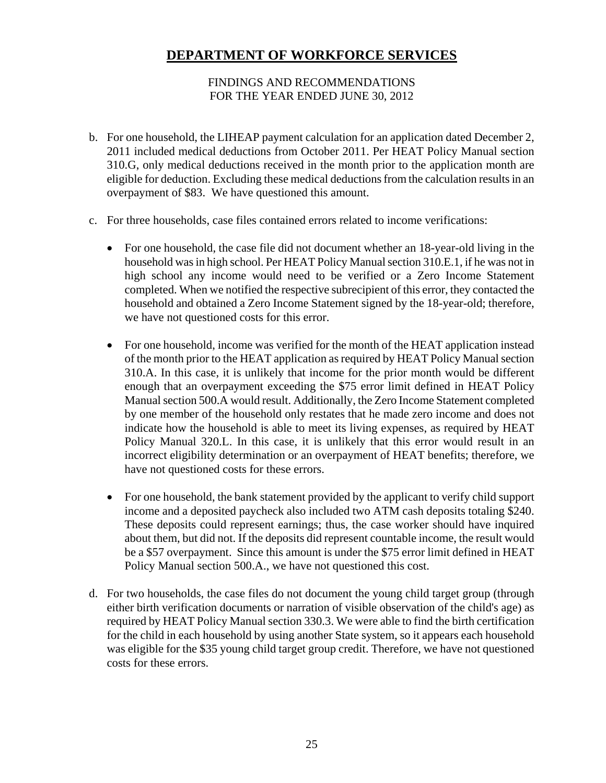### FINDINGS AND RECOMMENDATIONS FOR THE YEAR ENDED JUNE 30, 2012

- b. For one household, the LIHEAP payment calculation for an application dated December 2, 2011 included medical deductions from October 2011. Per HEAT Policy Manual section 310.G, only medical deductions received in the month prior to the application month are eligible for deduction. Excluding these medical deductions from the calculation results in an overpayment of \$83. We have questioned this amount.
- c. For three households, case files contained errors related to income verifications:
	- For one household, the case file did not document whether an 18-year-old living in the household was in high school. Per HEAT Policy Manual section 310.E.1, if he was not in high school any income would need to be verified or a Zero Income Statement completed. When we notified the respective subrecipient of this error, they contacted the household and obtained a Zero Income Statement signed by the 18-year-old; therefore, we have not questioned costs for this error.
	- For one household, income was verified for the month of the HEAT application instead of the month prior to the HEAT application as required by HEAT Policy Manual section 310.A. In this case, it is unlikely that income for the prior month would be different enough that an overpayment exceeding the \$75 error limit defined in HEAT Policy Manual section 500.A would result. Additionally, the Zero Income Statement completed by one member of the household only restates that he made zero income and does not indicate how the household is able to meet its living expenses, as required by HEAT Policy Manual 320.L. In this case, it is unlikely that this error would result in an incorrect eligibility determination or an overpayment of HEAT benefits; therefore, we have not questioned costs for these errors.
	- For one household, the bank statement provided by the applicant to verify child support income and a deposited paycheck also included two ATM cash deposits totaling \$240. These deposits could represent earnings; thus, the case worker should have inquired about them, but did not. If the deposits did represent countable income, the result would be a \$57 overpayment. Since this amount is under the \$75 error limit defined in HEAT Policy Manual section 500.A., we have not questioned this cost.
- d. For two households, the case files do not document the young child target group (through either birth verification documents or narration of visible observation of the child's age) as required by HEAT Policy Manual section 330.3. We were able to find the birth certification for the child in each household by using another State system, so it appears each household was eligible for the \$35 young child target group credit. Therefore, we have not questioned costs for these errors.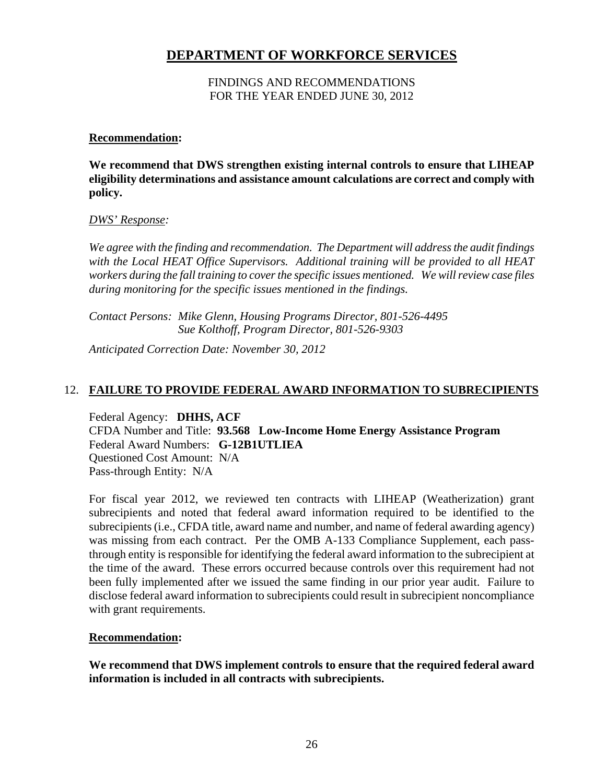### FINDINGS AND RECOMMENDATIONS FOR THE YEAR ENDED JUNE 30, 2012

### **Recommendation:**

**We recommend that DWS strengthen existing internal controls to ensure that LIHEAP eligibility determinations and assistance amount calculations are correct and comply with policy.** 

### *DWS' Response:*

*We agree with the finding and recommendation. The Department will address the audit findings with the Local HEAT Office Supervisors. Additional training will be provided to all HEAT workers during the fall training to cover the specific issues mentioned. We will review case files during monitoring for the specific issues mentioned in the findings.* 

*Contact Persons: Mike Glenn, Housing Programs Director, 801-526-4495 Sue Kolthoff, Program Director, 801-526-9303* 

*Anticipated Correction Date: November 30, 2012*

# 12. **FAILURE TO PROVIDE FEDERAL AWARD INFORMATION TO SUBRECIPIENTS**

Federal Agency: **DHHS, ACF**  CFDA Number and Title: **93.568 Low-Income Home Energy Assistance Program** Federal Award Numbers: **G-12B1UTLIEA**  Questioned Cost Amount: N/A Pass-through Entity: N/A

For fiscal year 2012, we reviewed ten contracts with LIHEAP (Weatherization) grant subrecipients and noted that federal award information required to be identified to the subrecipients (i.e., CFDA title, award name and number, and name of federal awarding agency) was missing from each contract. Per the OMB A-133 Compliance Supplement, each passthrough entity is responsible for identifying the federal award information to the subrecipient at the time of the award. These errors occurred because controls over this requirement had not been fully implemented after we issued the same finding in our prior year audit. Failure to disclose federal award information to subrecipients could result in subrecipient noncompliance with grant requirements.

# **Recommendation:**

**We recommend that DWS implement controls to ensure that the required federal award information is included in all contracts with subrecipients.**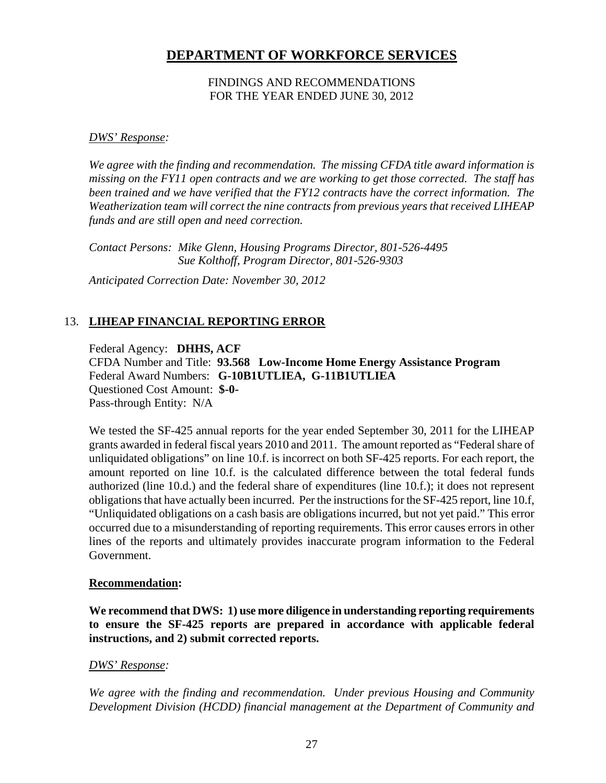### FINDINGS AND RECOMMENDATIONS FOR THE YEAR ENDED JUNE 30, 2012

### *DWS' Response:*

*We agree with the finding and recommendation. The missing CFDA title award information is missing on the FY11 open contracts and we are working to get those corrected. The staff has been trained and we have verified that the FY12 contracts have the correct information. The Weatherization team will correct the nine contracts from previous years that received LIHEAP funds and are still open and need correction.* 

*Contact Persons: Mike Glenn, Housing Programs Director, 801-526-4495 Sue Kolthoff, Program Director, 801-526-9303* 

*Anticipated Correction Date: November 30, 2012* 

# 13. **LIHEAP FINANCIAL REPORTING ERROR**

Federal Agency: **DHHS, ACF** 

CFDA Number and Title: **93.568 Low-Income Home Energy Assistance Program** Federal Award Numbers: **G-10B1UTLIEA, G-11B1UTLIEA** Questioned Cost Amount: **\$-0-** Pass-through Entity: N/A

We tested the SF-425 annual reports for the year ended September 30, 2011 for the LIHEAP grants awarded in federal fiscal years 2010 and 2011. The amount reported as "Federal share of unliquidated obligations" on line 10.f. is incorrect on both SF-425 reports. For each report, the amount reported on line 10.f. is the calculated difference between the total federal funds authorized (line 10.d.) and the federal share of expenditures (line 10.f.); it does not represent obligations that have actually been incurred. Per the instructions for the SF-425 report, line 10.f, "Unliquidated obligations on a cash basis are obligations incurred, but not yet paid." This error occurred due to a misunderstanding of reporting requirements. This error causes errors in other lines of the reports and ultimately provides inaccurate program information to the Federal Government.

### **Recommendation:**

**We recommend that DWS: 1) use more diligence in understanding reporting requirements to ensure the SF-425 reports are prepared in accordance with applicable federal instructions, and 2) submit corrected reports.** 

### *DWS' Response:*

*We agree with the finding and recommendation. Under previous Housing and Community Development Division (HCDD) financial management at the Department of Community and*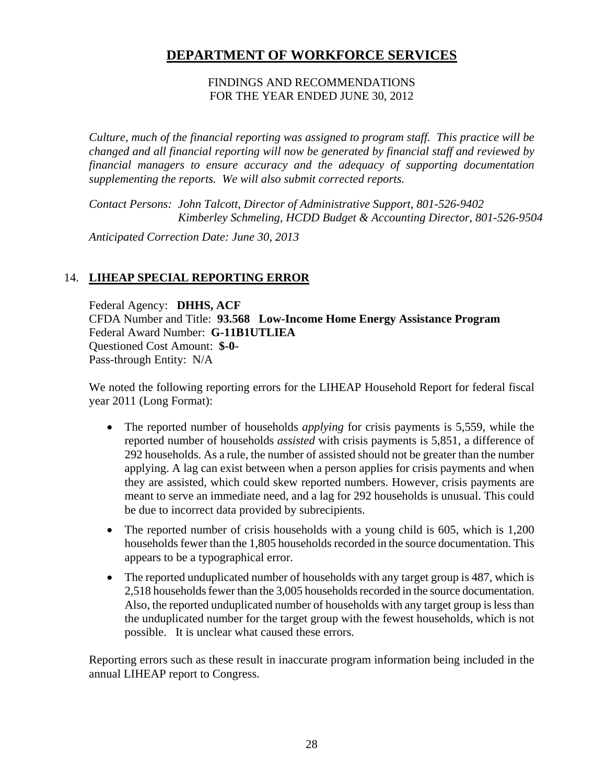### FINDINGS AND RECOMMENDATIONS FOR THE YEAR ENDED JUNE 30, 2012

*Culture, much of the financial reporting was assigned to program staff. This practice will be changed and all financial reporting will now be generated by financial staff and reviewed by financial managers to ensure accuracy and the adequacy of supporting documentation supplementing the reports. We will also submit corrected reports.* 

*Contact Persons: John Talcott, Director of Administrative Support, 801-526-9402 Kimberley Schmeling, HCDD Budget & Accounting Director, 801-526-9504* 

*Anticipated Correction Date: June 30, 2013*

# 14. **LIHEAP SPECIAL REPORTING ERROR**

Federal Agency: **DHHS, ACF**  CFDA Number and Title: **93.568 Low-Income Home Energy Assistance Program** Federal Award Number: **G-11B1UTLIEA** Questioned Cost Amount: **\$-0-** Pass-through Entity: N/A

We noted the following reporting errors for the LIHEAP Household Report for federal fiscal year 2011 (Long Format):

- The reported number of households *applying* for crisis payments is 5,559, while the reported number of households *assisted* with crisis payments is 5,851, a difference of 292 households. As a rule, the number of assisted should not be greater than the number applying. A lag can exist between when a person applies for crisis payments and when they are assisted, which could skew reported numbers. However, crisis payments are meant to serve an immediate need, and a lag for 292 households is unusual. This could be due to incorrect data provided by subrecipients.
- The reported number of crisis households with a young child is 605, which is 1,200 households fewer than the 1,805 households recorded in the source documentation. This appears to be a typographical error.
- The reported unduplicated number of households with any target group is 487, which is 2,518 households fewer than the 3,005 households recorded in the source documentation. Also, the reported unduplicated number of households with any target group is less than the unduplicated number for the target group with the fewest households, which is not possible. It is unclear what caused these errors.

Reporting errors such as these result in inaccurate program information being included in the annual LIHEAP report to Congress.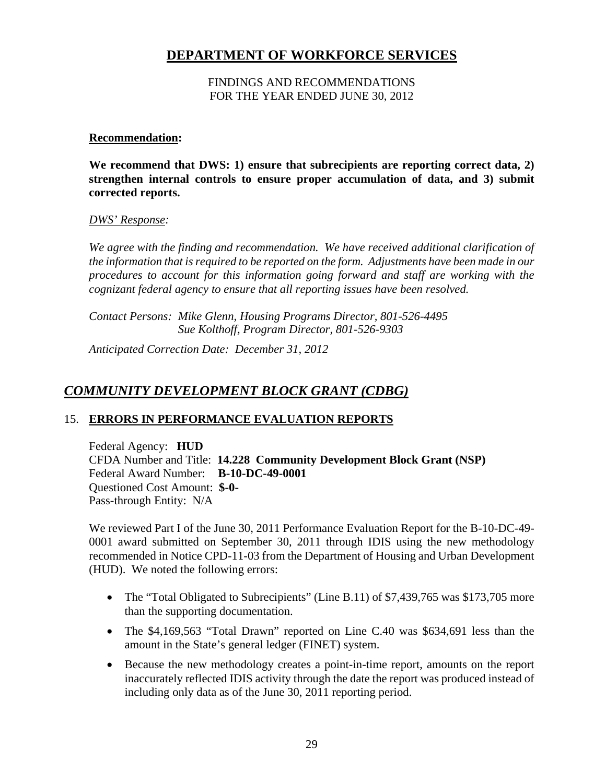### FINDINGS AND RECOMMENDATIONS FOR THE YEAR ENDED JUNE 30, 2012

### **Recommendation:**

**We recommend that DWS: 1) ensure that subrecipients are reporting correct data, 2) strengthen internal controls to ensure proper accumulation of data, and 3) submit corrected reports.** 

#### *DWS' Response:*

*We agree with the finding and recommendation. We have received additional clarification of the information that is required to be reported on the form. Adjustments have been made in our procedures to account for this information going forward and staff are working with the cognizant federal agency to ensure that all reporting issues have been resolved.* 

*Contact Persons: Mike Glenn, Housing Programs Director, 801-526-4495 Sue Kolthoff, Program Director, 801-526-9303* 

*Anticipated Correction Date: December 31, 2012* 

# *COMMUNITY DEVELOPMENT BLOCK GRANT (CDBG)*

# 15. **ERRORS IN PERFORMANCE EVALUATION REPORTS**

Federal Agency: **HUD**  CFDA Number and Title: **14.228 Community Development Block Grant (NSP)** Federal Award Number: **B-10-DC-49-0001**  Questioned Cost Amount: **\$-0-** Pass-through Entity: N/A

We reviewed Part I of the June 30, 2011 Performance Evaluation Report for the B-10-DC-49- 0001 award submitted on September 30, 2011 through IDIS using the new methodology recommended in Notice CPD-11-03 from the Department of Housing and Urban Development (HUD). We noted the following errors:

- The "Total Obligated to Subrecipients" (Line B.11) of \$7,439,765 was \$173,705 more than the supporting documentation.
- The \$4,169,563 "Total Drawn" reported on Line C.40 was \$634,691 less than the amount in the State's general ledger (FINET) system.
- Because the new methodology creates a point-in-time report, amounts on the report inaccurately reflected IDIS activity through the date the report was produced instead of including only data as of the June 30, 2011 reporting period.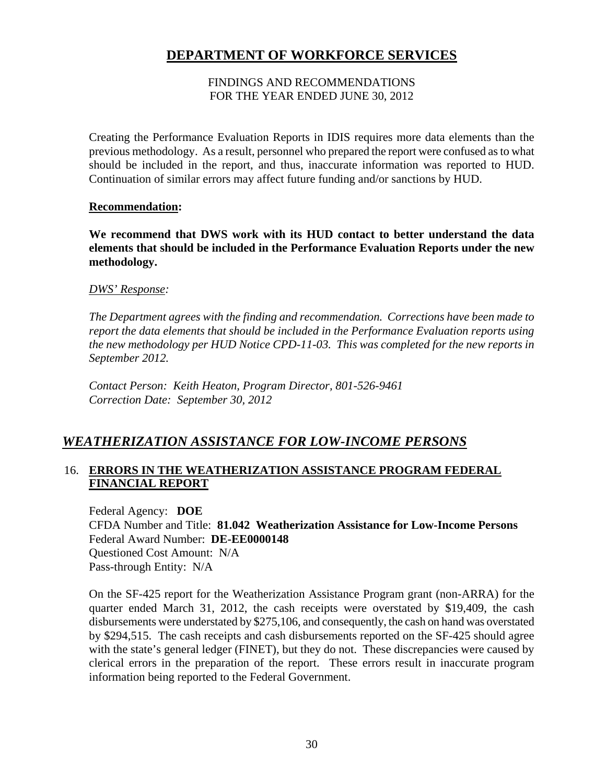### FINDINGS AND RECOMMENDATIONS FOR THE YEAR ENDED JUNE 30, 2012

Creating the Performance Evaluation Reports in IDIS requires more data elements than the previous methodology. As a result, personnel who prepared the report were confused as to what should be included in the report, and thus, inaccurate information was reported to HUD. Continuation of similar errors may affect future funding and/or sanctions by HUD.

### **Recommendation:**

**We recommend that DWS work with its HUD contact to better understand the data elements that should be included in the Performance Evaluation Reports under the new methodology.** 

### *DWS' Response:*

*The Department agrees with the finding and recommendation. Corrections have been made to report the data elements that should be included in the Performance Evaluation reports using the new methodology per HUD Notice CPD-11-03. This was completed for the new reports in September 2012.* 

*Contact Person: Keith Heaton, Program Director, 801-526-9461 Correction Date: September 30, 2012* 

# *WEATHERIZATION ASSISTANCE FOR LOW-INCOME PERSONS*

# 16. **ERRORS IN THE WEATHERIZATION ASSISTANCE PROGRAM FEDERAL FINANCIAL REPORT**

Federal Agency: **DOE**  CFDA Number and Title: **81.042 Weatherization Assistance for Low-Income Persons**  Federal Award Number: **DE-EE0000148**  Questioned Cost Amount: N/A Pass-through Entity: N/A

On the SF-425 report for the Weatherization Assistance Program grant (non-ARRA) for the quarter ended March 31, 2012, the cash receipts were overstated by \$19,409, the cash disbursements were understated by \$275,106, and consequently, the cash on hand was overstated by \$294,515. The cash receipts and cash disbursements reported on the SF-425 should agree with the state's general ledger (FINET), but they do not. These discrepancies were caused by clerical errors in the preparation of the report. These errors result in inaccurate program information being reported to the Federal Government.